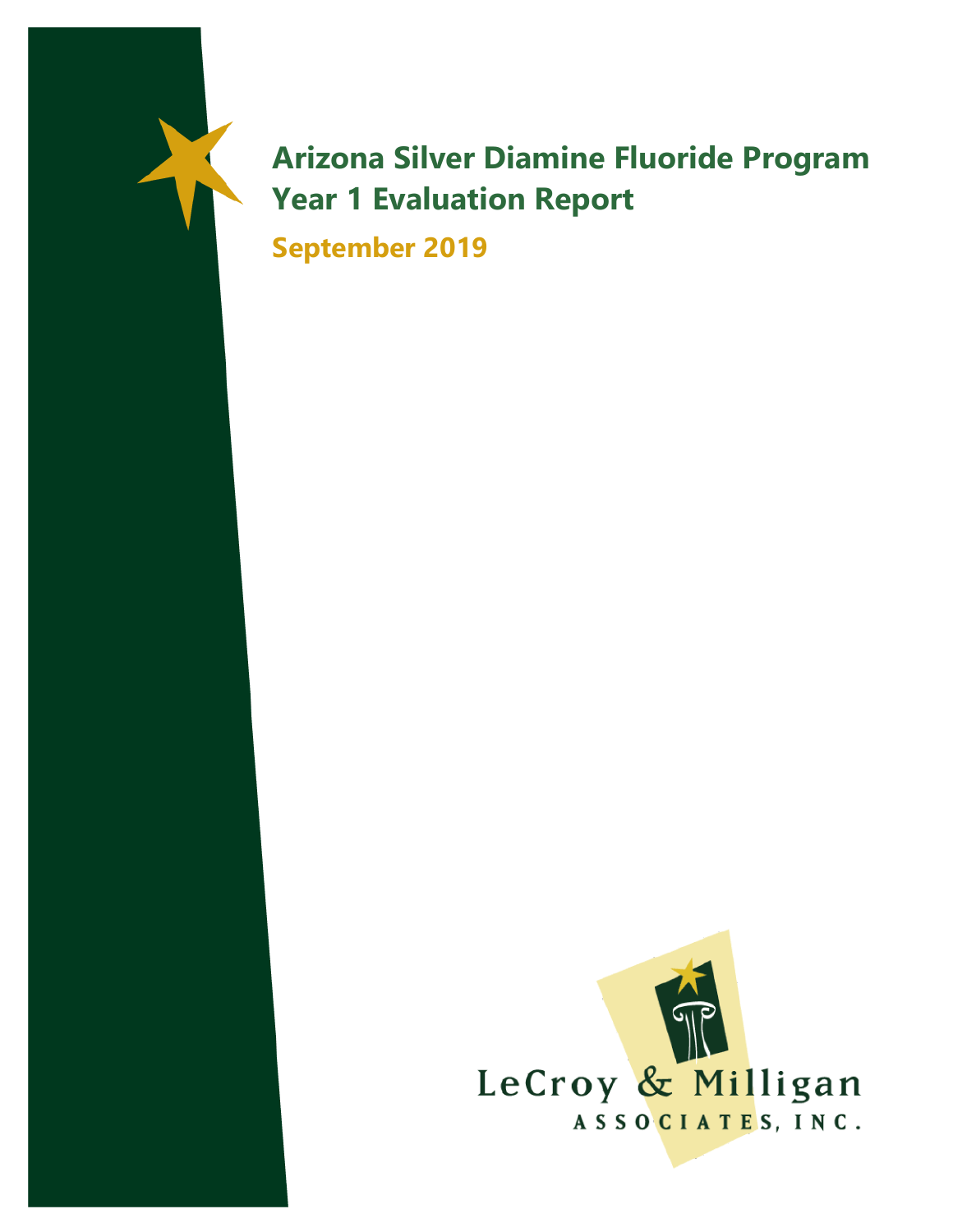# **Arizona Silver Diamine Fluoride Program Year 1 Evaluation Report**

**September 2019**

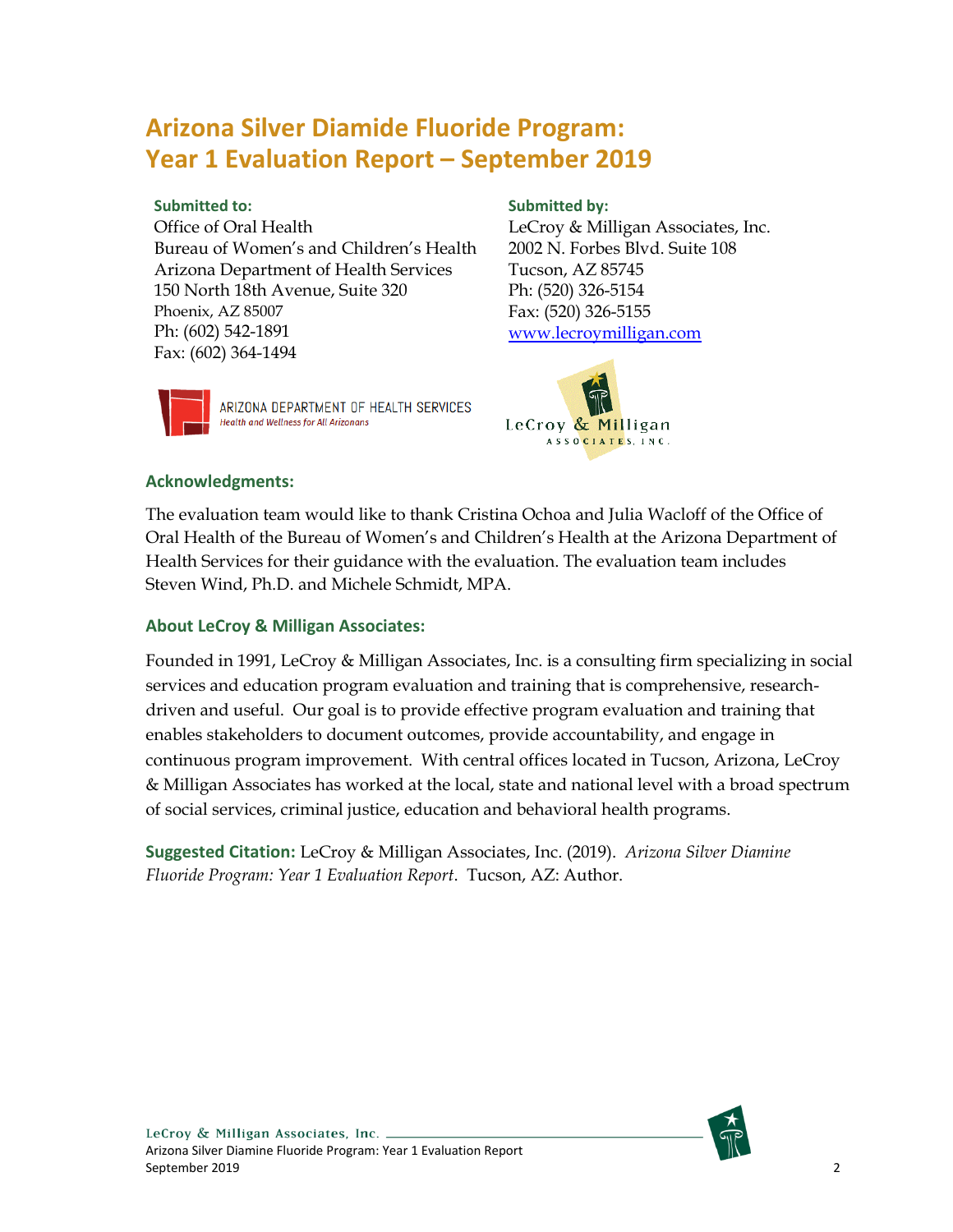## **Arizona Silver Diamide Fluoride Program: Year 1 Evaluation Report – September 2019**

#### **Submitted to:**

Office of Oral Health Bureau of Women's and Children's Health Arizona Department of Health Services 150 North 18th Avenue, Suite 320 Phoenix, AZ 85007 Ph: (602) 542-1891 Fax: (602) 364-1494



ARIZONA DEPARTMENT OF HEALTH SERVICES **Health and Wellness for All Arizonans** 

### **Submitted by:**

LeCroy & Milligan Associates, Inc. 2002 N. Forbes Blvd. Suite 108 Tucson, AZ 85745 Ph: (520) 326-5154 Fax: (520) 326-5155 [www.lecroymilligan.com](http://www.lecroymilligan.com/)



#### **Acknowledgments:**

The evaluation team would like to thank Cristina Ochoa and Julia Wacloff of the Office of Oral Health of the Bureau of Women's and Children's Health at the Arizona Department of Health Services for their guidance with the evaluation. The evaluation team includes Steven Wind, Ph.D. and Michele Schmidt, MPA.

#### **About LeCroy & Milligan Associates:**

Founded in 1991, LeCroy & Milligan Associates, Inc. is a consulting firm specializing in social services and education program evaluation and training that is comprehensive, researchdriven and useful. Our goal is to provide effective program evaluation and training that enables stakeholders to document outcomes, provide accountability, and engage in continuous program improvement. With central offices located in Tucson, Arizona, LeCroy & Milligan Associates has worked at the local, state and national level with a broad spectrum of social services, criminal justice, education and behavioral health programs.

**Suggested Citation:** LeCroy & Milligan Associates, Inc. (2019). *Arizona Silver Diamine Fluoride Program: Year 1 Evaluation Report*. Tucson, AZ: Author.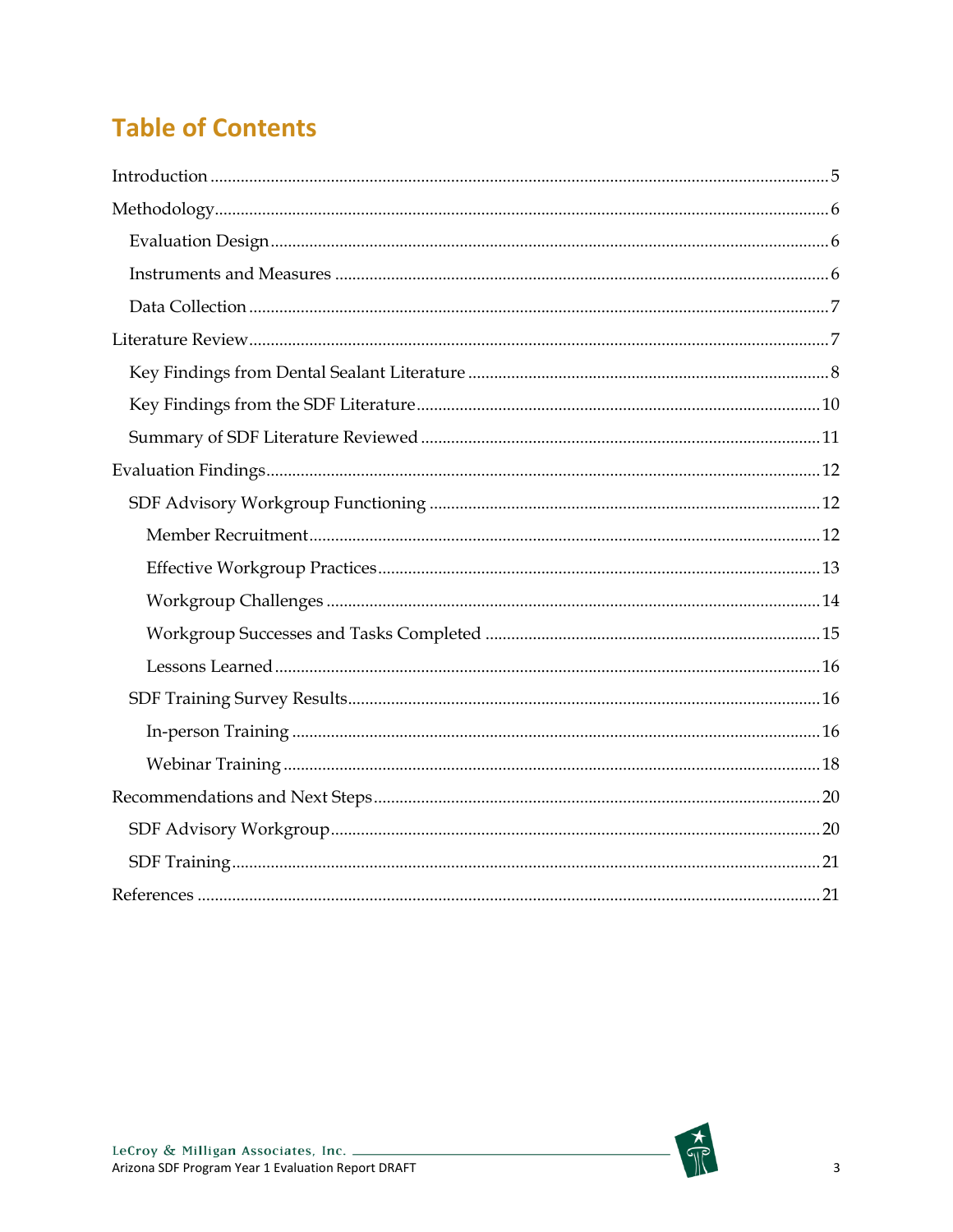# **Table of Contents**

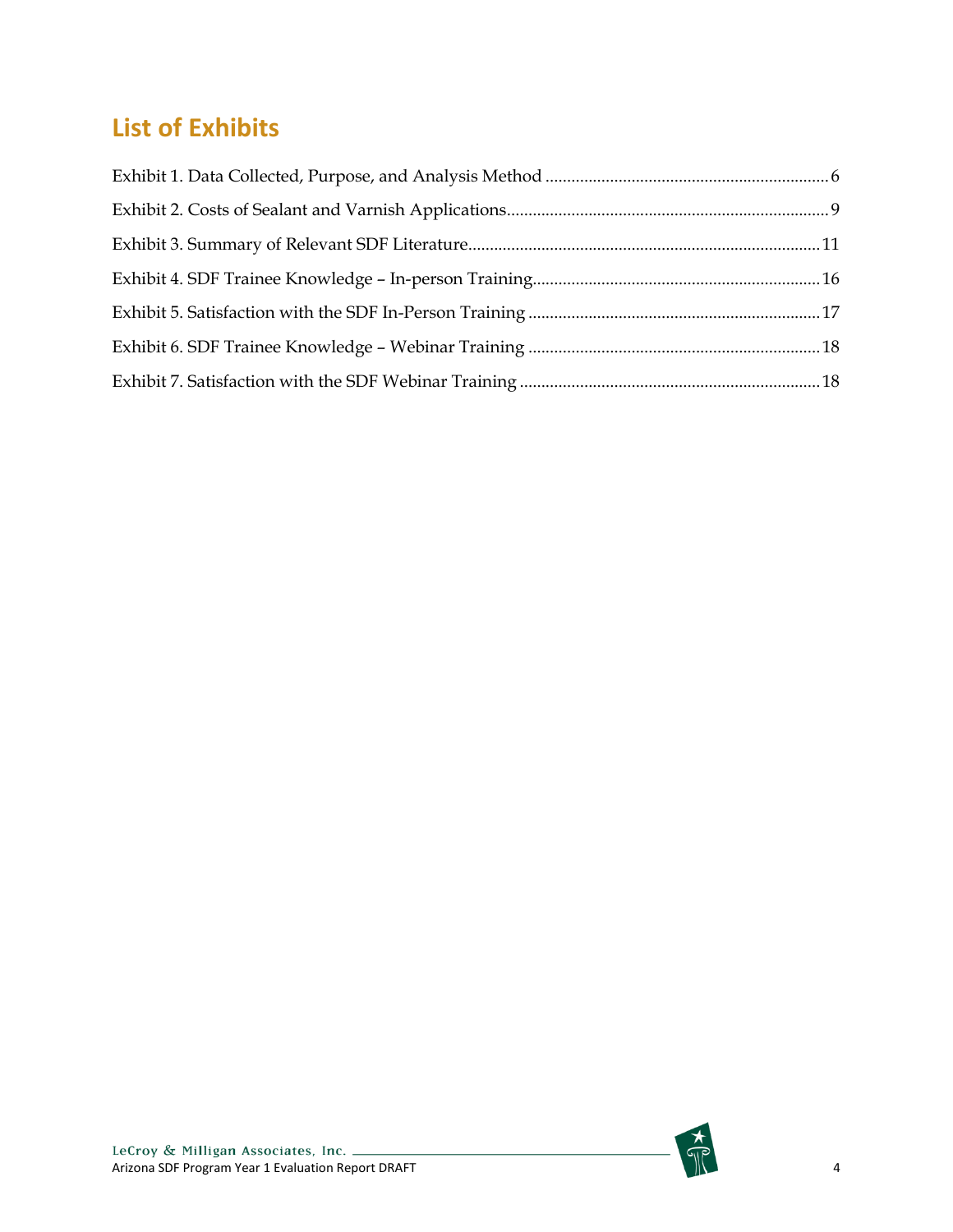# **List of Exhibits**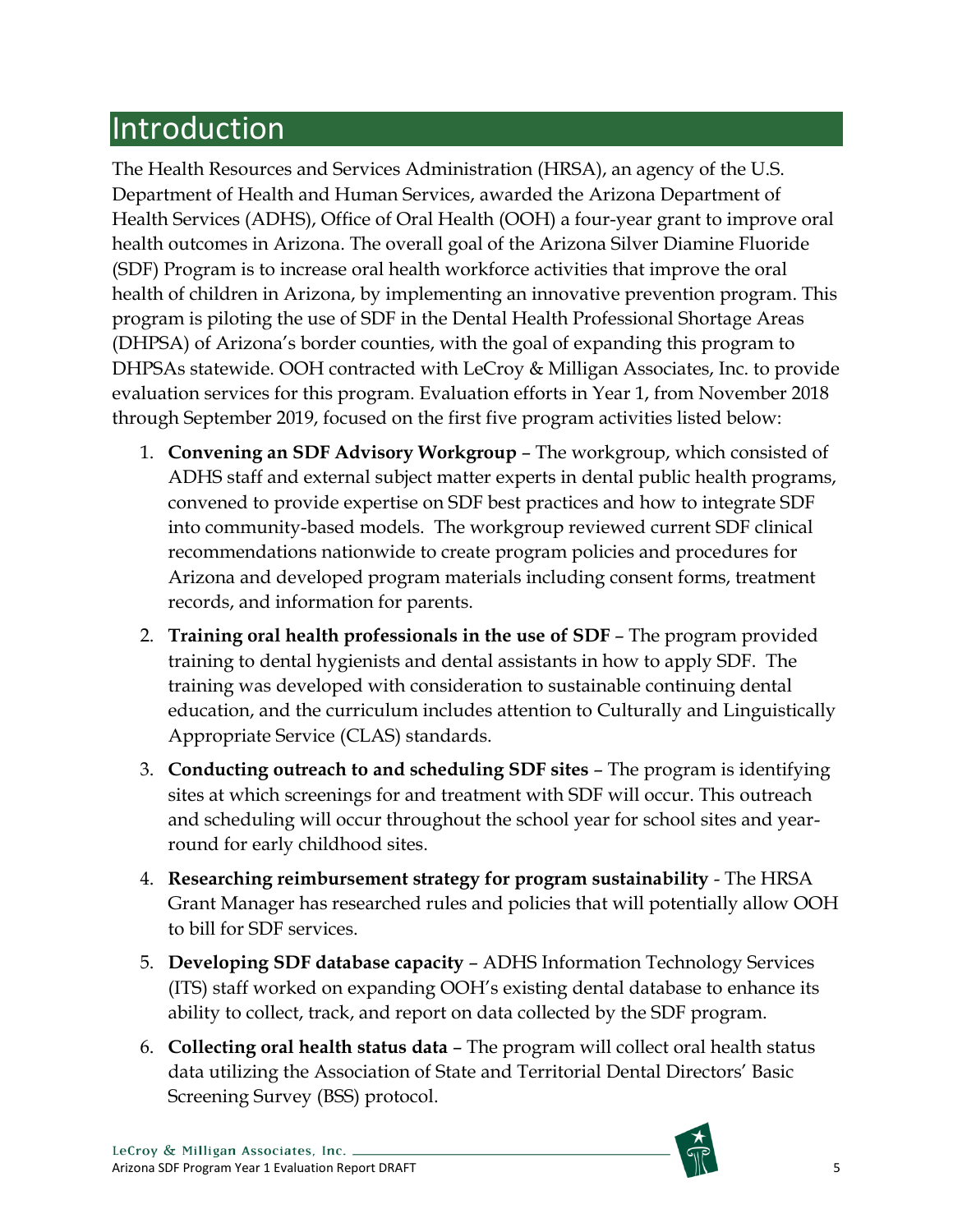# <span id="page-4-0"></span>Introduction

The Health Resources and Services Administration (HRSA), an agency of the U.S. Department of Health and Human Services, awarded the Arizona Department of Health Services (ADHS), Office of Oral Health (OOH) a four-year grant to improve oral health outcomes in Arizona. The overall goal of the Arizona Silver Diamine Fluoride (SDF) Program is to increase oral health workforce activities that improve the oral health of children in Arizona, by implementing an innovative prevention program. This program is piloting the use of SDF in the Dental Health Professional Shortage Areas (DHPSA) of Arizona's border counties, with the goal of expanding this program to DHPSAs statewide. OOH contracted with LeCroy & Milligan Associates, Inc. to provide evaluation services for this program. Evaluation efforts in Year 1, from November 2018 through September 2019, focused on the first five program activities listed below:

- 1. **Convening an SDF Advisory Workgroup** The workgroup, which consisted of ADHS staff and external subject matter experts in dental public health programs, convened to provide expertise on SDF best practices and how to integrate SDF into community-based models. The workgroup reviewed current SDF clinical recommendations nationwide to create program policies and procedures for Arizona and developed program materials including consent forms, treatment records, and information for parents.
- 2. **Training oral health professionals in the use of SDF** The program provided training to dental hygienists and dental assistants in how to apply SDF. The training was developed with consideration to sustainable continuing dental education, and the curriculum includes attention to Culturally and Linguistically Appropriate Service (CLAS) standards.
- 3. **Conducting outreach to and scheduling SDF sites** The program is identifying sites at which screenings for and treatment with SDF will occur. This outreach and scheduling will occur throughout the school year for school sites and yearround for early childhood sites.
- 4. **Researching reimbursement strategy for program sustainability** The HRSA Grant Manager has researched rules and policies that will potentially allow OOH to bill for SDF services.
- 5. **Developing SDF database capacity** ADHS Information Technology Services (ITS) staff worked on expanding OOH's existing dental database to enhance its ability to collect, track, and report on data collected by the SDF program.
- 6. **Collecting oral health status data** The program will collect oral health status data utilizing the Association of State and Territorial Dental Directors' Basic Screening Survey (BSS) protocol.

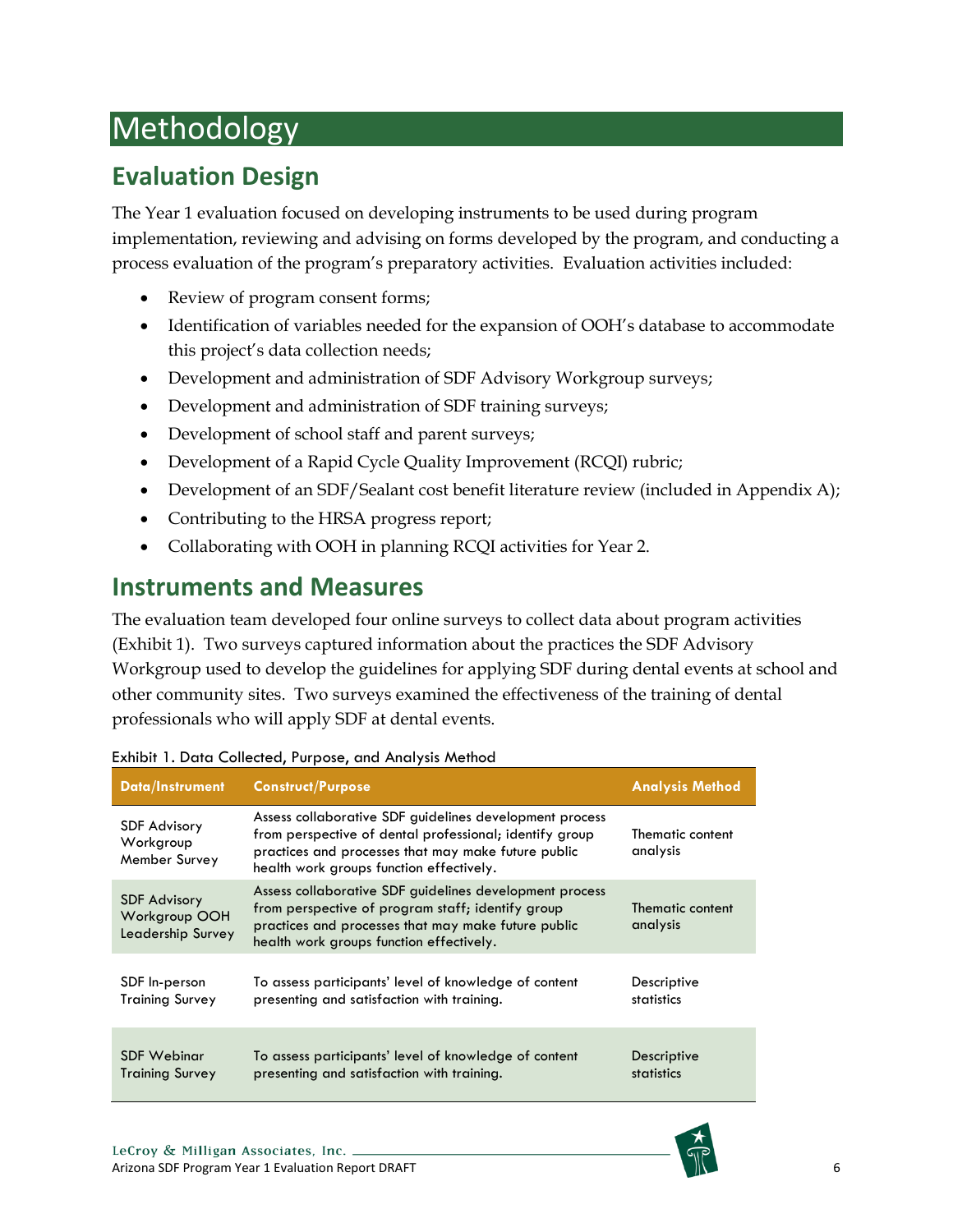# <span id="page-5-0"></span>Methodology

# <span id="page-5-1"></span>**Evaluation Design**

The Year 1 evaluation focused on developing instruments to be used during program implementation, reviewing and advising on forms developed by the program, and conducting a process evaluation of the program's preparatory activities. Evaluation activities included:

- Review of program consent forms;
- Identification of variables needed for the expansion of OOH's database to accommodate this project's data collection needs;
- Development and administration of SDF Advisory Workgroup surveys;
- Development and administration of SDF training surveys;
- Development of school staff and parent surveys;
- Development of a Rapid Cycle Quality Improvement (RCQI) rubric;
- Development of an SDF/Sealant cost benefit literature review (included in Appendix A);
- Contributing to the HRSA progress report;
- Collaborating with OOH in planning RCQI activities for Year 2.

## <span id="page-5-2"></span>**Instruments and Measures**

The evaluation team developed four online surveys to collect data about program activities (Exhibit 1). Two surveys captured information about the practices the SDF Advisory Workgroup used to develop the guidelines for applying SDF during dental events at school and other community sites. Two surveys examined the effectiveness of the training of dental professionals who will apply SDF at dental events.

| <b>Data/Instrument</b>                                    | <b>Construct/Purpose</b>                                                                                                                                                                                              | <b>Analysis Method</b>       |
|-----------------------------------------------------------|-----------------------------------------------------------------------------------------------------------------------------------------------------------------------------------------------------------------------|------------------------------|
| <b>SDF Advisory</b><br>Workgroup<br>Member Survey         | Assess collaborative SDF guidelines development process<br>from perspective of dental professional; identify group<br>practices and processes that may make future public<br>health work groups function effectively. | Thematic content<br>analysis |
| <b>SDF Advisory</b><br>Workgroup OOH<br>Leadership Survey | Assess collaborative SDF guidelines development process<br>from perspective of program staff; identify group<br>practices and processes that may make future public<br>health work groups function effectively.       | Thematic content<br>analysis |
| SDF In-person<br><b>Training Survey</b>                   | To assess participants' level of knowledge of content<br>presenting and satisfaction with training.                                                                                                                   | Descriptive<br>statistics    |
| SDF Webinar<br><b>Training Survey</b>                     | To assess participants' level of knowledge of content<br>presenting and satisfaction with training.                                                                                                                   | Descriptive<br>statistics    |

#### <span id="page-5-3"></span>Exhibit 1. Data Collected, Purpose, and Analysis Method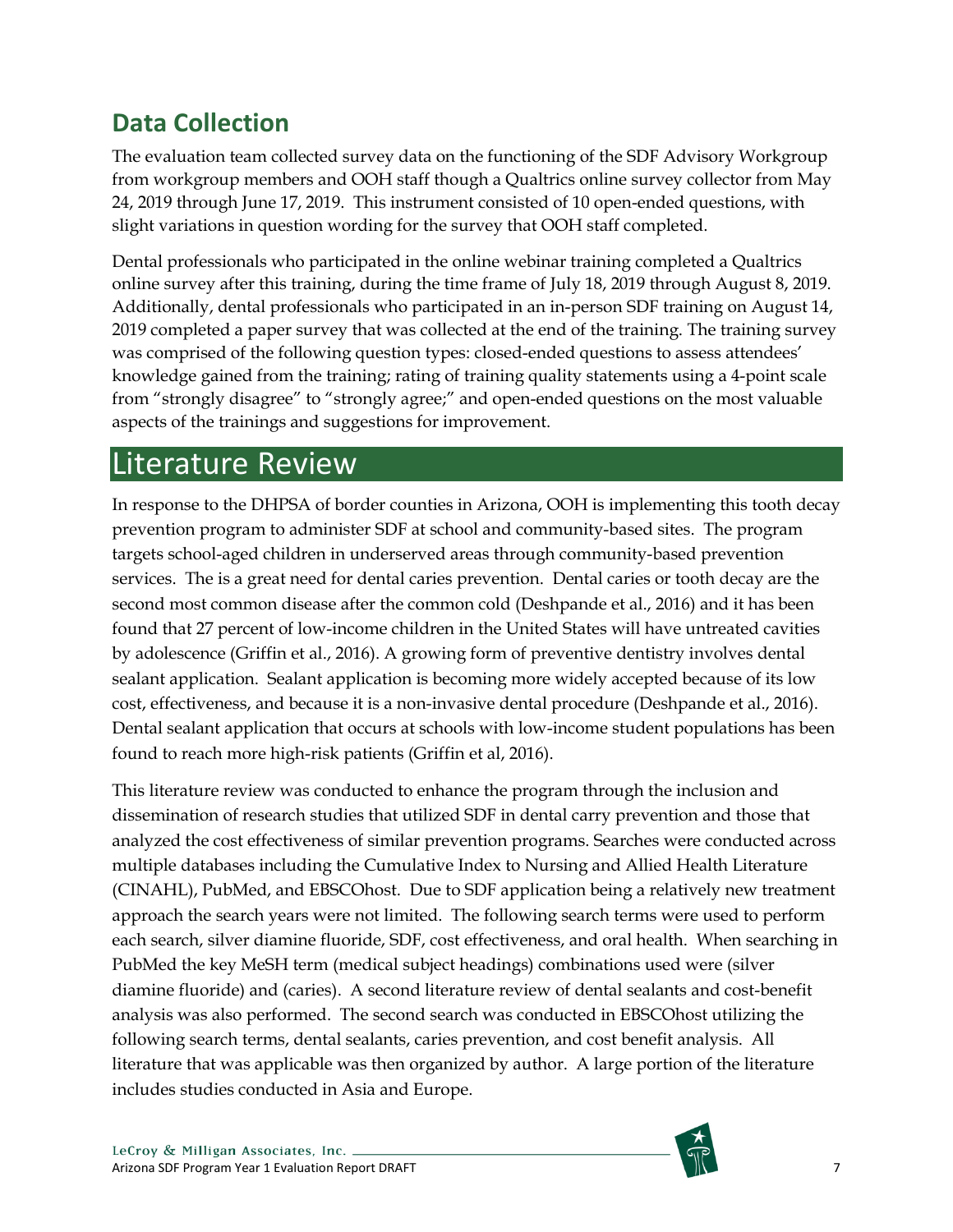# <span id="page-6-0"></span>**Data Collection**

The evaluation team collected survey data on the functioning of the SDF Advisory Workgroup from workgroup members and OOH staff though a Qualtrics online survey collector from May 24, 2019 through June 17, 2019. This instrument consisted of 10 open-ended questions, with slight variations in question wording for the survey that OOH staff completed.

Dental professionals who participated in the online webinar training completed a Qualtrics online survey after this training, during the time frame of July 18, 2019 through August 8, 2019. Additionally, dental professionals who participated in an in-person SDF training on August 14, 2019 completed a paper survey that was collected at the end of the training. The training survey was comprised of the following question types: closed-ended questions to assess attendees' knowledge gained from the training; rating of training quality statements using a 4-point scale from "strongly disagree" to "strongly agree;" and open-ended questions on the most valuable aspects of the trainings and suggestions for improvement.

# <span id="page-6-1"></span>Literature Review

In response to the DHPSA of border counties in Arizona, OOH is implementing this tooth decay prevention program to administer SDF at school and community-based sites. The program targets school-aged children in underserved areas through community-based prevention services. The is a great need for dental caries prevention. Dental caries or tooth decay are the second most common disease after the common cold (Deshpande et al., 2016) and it has been found that 27 percent of low-income children in the United States will have untreated cavities by adolescence (Griffin et al., 2016). A growing form of preventive dentistry involves dental sealant application. Sealant application is becoming more widely accepted because of its low cost, effectiveness, and because it is a non-invasive dental procedure (Deshpande et al., 2016). Dental sealant application that occurs at schools with low-income student populations has been found to reach more high-risk patients (Griffin et al, 2016).

This literature review was conducted to enhance the program through the inclusion and dissemination of research studies that utilized SDF in dental carry prevention and those that analyzed the cost effectiveness of similar prevention programs. Searches were conducted across multiple databases including the Cumulative Index to Nursing and Allied Health Literature (CINAHL), PubMed, and EBSCOhost. Due to SDF application being a relatively new treatment approach the search years were not limited. The following search terms were used to perform each search, silver diamine fluoride, SDF, cost effectiveness, and oral health. When searching in PubMed the key MeSH term (medical subject headings) combinations used were (silver diamine fluoride) and (caries). A second literature review of dental sealants and cost-benefit analysis was also performed. The second search was conducted in EBSCOhost utilizing the following search terms, dental sealants, caries prevention, and cost benefit analysis. All literature that was applicable was then organized by author. A large portion of the literature includes studies conducted in Asia and Europe.

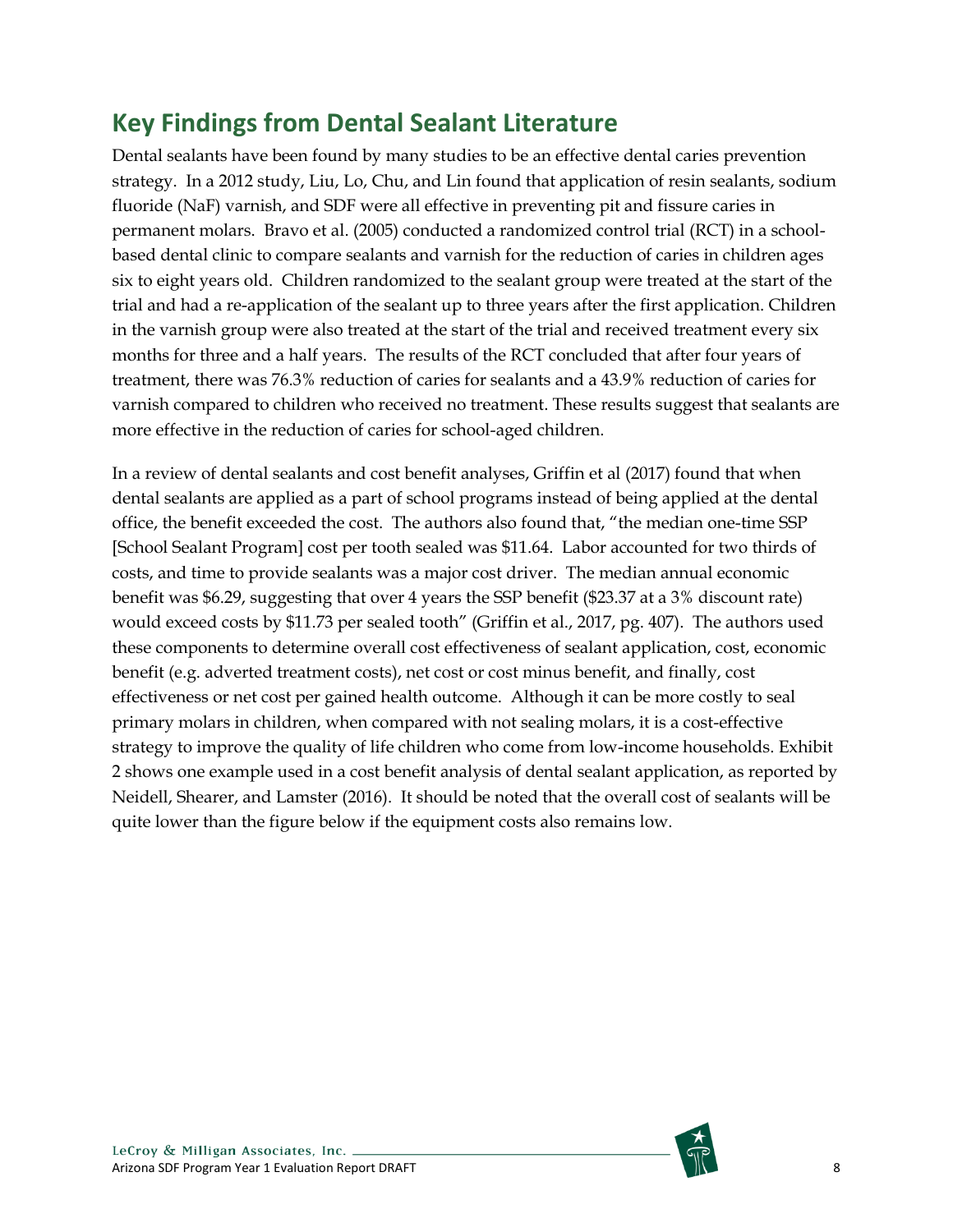## <span id="page-7-0"></span>**Key Findings from Dental Sealant Literature**

Dental sealants have been found by many studies to be an effective dental caries prevention strategy. In a 2012 study, Liu, Lo, Chu, and Lin found that application of resin sealants, sodium fluoride (NaF) varnish, and SDF were all effective in preventing pit and fissure caries in permanent molars. Bravo et al. (2005) conducted a randomized control trial (RCT) in a schoolbased dental clinic to compare sealants and varnish for the reduction of caries in children ages six to eight years old. Children randomized to the sealant group were treated at the start of the trial and had a re-application of the sealant up to three years after the first application. Children in the varnish group were also treated at the start of the trial and received treatment every six months for three and a half years. The results of the RCT concluded that after four years of treatment, there was 76.3% reduction of caries for sealants and a 43.9% reduction of caries for varnish compared to children who received no treatment. These results suggest that sealants are more effective in the reduction of caries for school-aged children.

In a review of dental sealants and cost benefit analyses, Griffin et al (2017) found that when dental sealants are applied as a part of school programs instead of being applied at the dental office, the benefit exceeded the cost. The authors also found that, "the median one-time SSP [School Sealant Program] cost per tooth sealed was \$11.64. Labor accounted for two thirds of costs, and time to provide sealants was a major cost driver. The median annual economic benefit was \$6.29, suggesting that over 4 years the SSP benefit (\$23.37 at a 3% discount rate) would exceed costs by \$11.73 per sealed tooth" (Griffin et al., 2017, pg. 407). The authors used these components to determine overall cost effectiveness of sealant application, cost, economic benefit (e.g. adverted treatment costs), net cost or cost minus benefit, and finally, cost effectiveness or net cost per gained health outcome. Although it can be more costly to seal primary molars in children, when compared with not sealing molars, it is a cost-effective strategy to improve the quality of life children who come from low-income households. Exhibit 2 shows one example used in a cost benefit analysis of dental sealant application, as reported by Neidell, Shearer, and Lamster (2016). It should be noted that the overall cost of sealants will be quite lower than the figure below if the equipment costs also remains low.

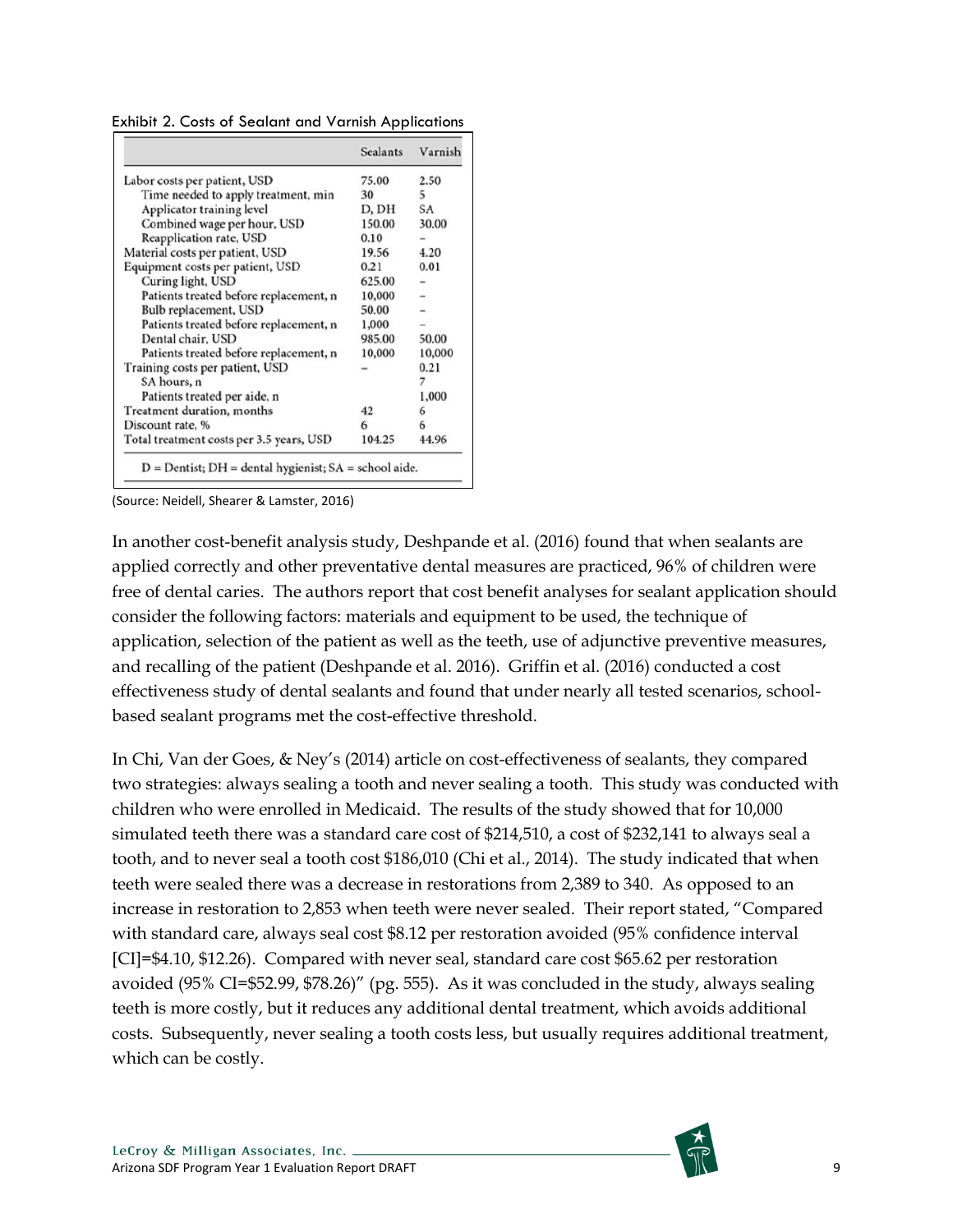<span id="page-8-0"></span>Exhibit 2. Costs of Sealant and Varnish Applications

|                                          | <b>Sealants</b> | Varnish |
|------------------------------------------|-----------------|---------|
| Labor costs per patient, USD             | 75.00           | 2.50    |
| Time needed to apply treatment, min      | 30              | 5       |
| Applicator training level                | D, DH           | SA      |
| Combined wage per hour, USD              | 150.00          | 30.00   |
| Reapplication rate, USD                  | 0.10            |         |
| Material costs per patient, USD          | 19.56           | 4.20    |
| Equipment costs per patient, USD         | 0.21            | 0.01    |
| Curing light, USD                        | 625.00          |         |
| Patients treated before replacement, n   | 10,000          |         |
| Bulb replacement, USD                    | 50.00           |         |
| Patients treated before replacement, n   | 1,000           |         |
| Dental chair, USD                        | 985.00          | 50.00   |
| Patients treated before replacement, n   | 10,000          | 10,000  |
| Training costs per patient, USD          |                 | 0.21    |
| SA hours, n                              |                 | 7       |
| Patients treated per aide, n             |                 | 1,000   |
| Treatment duration, months               | 42              | 6       |
| Discount rate, %                         | 6               | 6       |
| Total treatment costs per 3.5 years, USD | 104.25          | 44.96   |

(Source: Neidell, Shearer & Lamster, 2016)

In another cost-benefit analysis study, Deshpande et al. (2016) found that when sealants are applied correctly and other preventative dental measures are practiced, 96% of children were free of dental caries. The authors report that cost benefit analyses for sealant application should consider the following factors: materials and equipment to be used, the technique of application, selection of the patient as well as the teeth, use of adjunctive preventive measures, and recalling of the patient (Deshpande et al. 2016). Griffin et al. (2016) conducted a cost effectiveness study of dental sealants and found that under nearly all tested scenarios, schoolbased sealant programs met the cost-effective threshold.

In Chi, Van der Goes, & Ney's (2014) article on cost-effectiveness of sealants, they compared two strategies: always sealing a tooth and never sealing a tooth. This study was conducted with children who were enrolled in Medicaid. The results of the study showed that for 10,000 simulated teeth there was a standard care cost of \$214,510, a cost of \$232,141 to always seal a tooth, and to never seal a tooth cost \$186,010 (Chi et al., 2014). The study indicated that when teeth were sealed there was a decrease in restorations from 2,389 to 340. As opposed to an increase in restoration to 2,853 when teeth were never sealed. Their report stated, "Compared with standard care, always seal cost \$8.12 per restoration avoided (95% confidence interval [CI]=\$4.10, \$12.26). Compared with never seal, standard care cost \$65.62 per restoration avoided (95% CI=\$52.99, \$78.26)" (pg. 555). As it was concluded in the study, always sealing teeth is more costly, but it reduces any additional dental treatment, which avoids additional costs. Subsequently, never sealing a tooth costs less, but usually requires additional treatment, which can be costly.

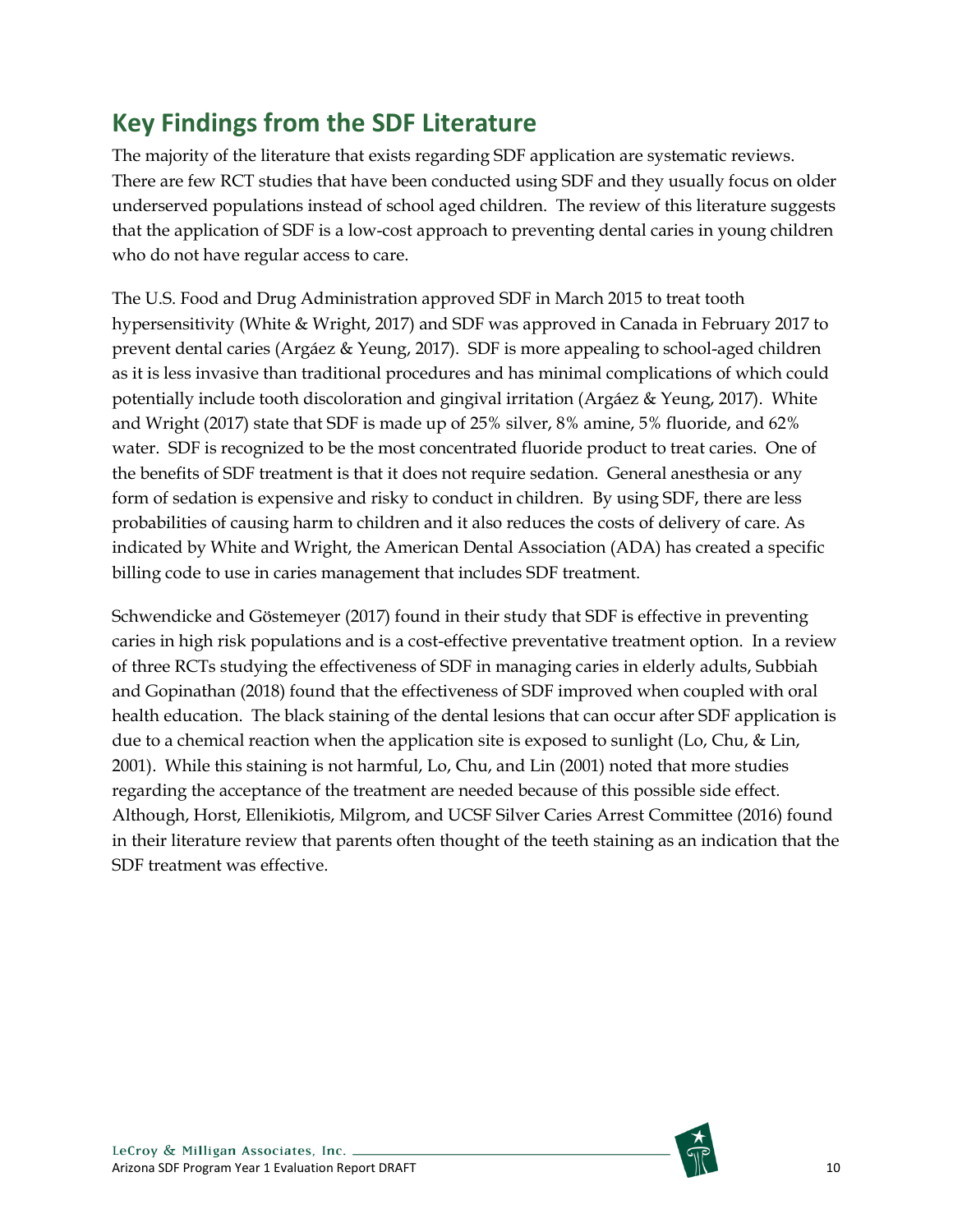# <span id="page-9-0"></span>**Key Findings from the SDF Literature**

The majority of the literature that exists regarding SDF application are systematic reviews. There are few RCT studies that have been conducted using SDF and they usually focus on older underserved populations instead of school aged children. The review of this literature suggests that the application of SDF is a low-cost approach to preventing dental caries in young children who do not have regular access to care.

The U.S. Food and Drug Administration approved SDF in March 2015 to treat tooth hypersensitivity (White & Wright, 2017) and SDF was approved in Canada in February 2017 to prevent dental caries (Argáez & Yeung, 2017). SDF is more appealing to school-aged children as it is less invasive than traditional procedures and has minimal complications of which could potentially include tooth discoloration and gingival irritation (Argáez & Yeung, 2017). White and Wright (2017) state that SDF is made up of 25% silver, 8% amine, 5% fluoride, and 62% water. SDF is recognized to be the most concentrated fluoride product to treat caries. One of the benefits of SDF treatment is that it does not require sedation. General anesthesia or any form of sedation is expensive and risky to conduct in children. By using SDF, there are less probabilities of causing harm to children and it also reduces the costs of delivery of care. As indicated by White and Wright, the American Dental Association (ADA) has created a specific billing code to use in caries management that includes SDF treatment.

Schwendicke and Göstemeyer (2017) found in their study that SDF is effective in preventing caries in high risk populations and is a cost-effective preventative treatment option. In a review of three RCTs studying the effectiveness of SDF in managing caries in elderly adults, Subbiah and Gopinathan (2018) found that the effectiveness of SDF improved when coupled with oral health education. The black staining of the dental lesions that can occur after SDF application is due to a chemical reaction when the application site is exposed to sunlight (Lo, Chu, & Lin, 2001). While this staining is not harmful, Lo, Chu, and Lin (2001) noted that more studies regarding the acceptance of the treatment are needed because of this possible side effect. Although, Horst, Ellenikiotis, Milgrom, and UCSF Silver Caries Arrest Committee (2016) found in their literature review that parents often thought of the teeth staining as an indication that the SDF treatment was effective.

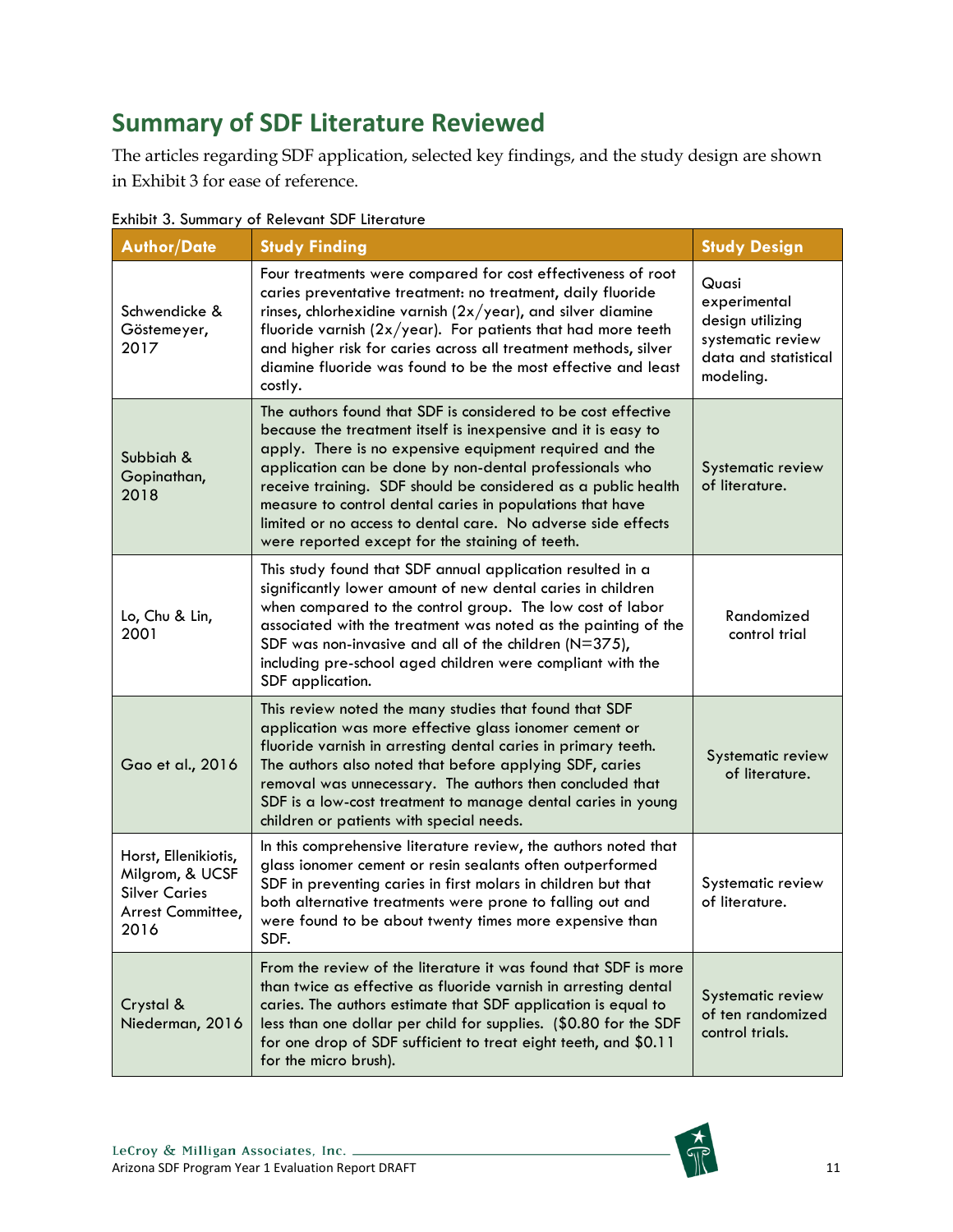# <span id="page-10-0"></span>**Summary of SDF Literature Reviewed**

The articles regarding SDF application, selected key findings, and the study design are shown in Exhibit 3 for ease of reference.

| <b>Author/Date</b>                                                                           | <b>Study Finding</b>                                                                                                                                                                                                                                                                                                                                                                                                                                                                                  | <b>Study Design</b>                                                                                 |
|----------------------------------------------------------------------------------------------|-------------------------------------------------------------------------------------------------------------------------------------------------------------------------------------------------------------------------------------------------------------------------------------------------------------------------------------------------------------------------------------------------------------------------------------------------------------------------------------------------------|-----------------------------------------------------------------------------------------------------|
| Schwendicke &<br>Göstemeyer,<br>2017                                                         | Four treatments were compared for cost effectiveness of root<br>caries preventative treatment: no treatment, daily fluoride<br>rinses, chlorhexidine varnish $(2x/year)$ , and silver diamine<br>fluoride varnish $(2x/year)$ . For patients that had more teeth<br>and higher risk for caries across all treatment methods, silver<br>diamine fluoride was found to be the most effective and least<br>costly.                                                                                       | Quasi<br>experimental<br>design utilizing<br>systematic review<br>data and statistical<br>modeling. |
| Subbiah &<br>Gopinathan,<br>2018                                                             | The authors found that SDF is considered to be cost effective<br>because the treatment itself is inexpensive and it is easy to<br>apply. There is no expensive equipment required and the<br>application can be done by non-dental professionals who<br>receive training. SDF should be considered as a public health<br>measure to control dental caries in populations that have<br>limited or no access to dental care. No adverse side effects<br>were reported except for the staining of teeth. | Systematic review<br>of literature.                                                                 |
| Lo, Chu & Lin,<br>2001                                                                       | This study found that SDF annual application resulted in a<br>significantly lower amount of new dental caries in children<br>when compared to the control group. The low cost of labor<br>associated with the treatment was noted as the painting of the<br>SDF was non-invasive and all of the children (N=375),<br>including pre-school aged children were compliant with the<br>SDF application.                                                                                                   | Randomized<br>control trial                                                                         |
| Gao et al., 2016                                                                             | This review noted the many studies that found that SDF<br>application was more effective glass ionomer cement or<br>fluoride varnish in arresting dental caries in primary teeth.<br>The authors also noted that before applying SDF, caries<br>removal was unnecessary. The authors then concluded that<br>SDF is a low-cost treatment to manage dental caries in young<br>children or patients with special needs.                                                                                  | Systematic review<br>of literature.                                                                 |
| Horst, Ellenikiotis,<br>Milgrom, & UCSF<br><b>Silver Caries</b><br>Arrest Committee,<br>2016 | In this comprehensive literature review, the authors noted that<br>glass ionomer cement or resin sealants often outperformed<br>SDF in preventing caries in first molars in children but that<br>both alternative treatments were prone to falling out and<br>were found to be about twenty times more expensive than<br>SDF.                                                                                                                                                                         | Systematic review<br>of literature.                                                                 |
| Crystal &<br>Niederman, 2016                                                                 | From the review of the literature it was found that SDF is more<br>than twice as effective as fluoride varnish in arresting dental<br>caries. The authors estimate that SDF application is equal to<br>less than one dollar per child for supplies. (\$0.80 for the SDF<br>for one drop of SDF sufficient to treat eight teeth, and \$0.11<br>for the micro brush).                                                                                                                                   | Systematic review<br>of ten randomized<br>control trials.                                           |

#### <span id="page-10-1"></span>Exhibit 3. Summary of Relevant SDF Literature

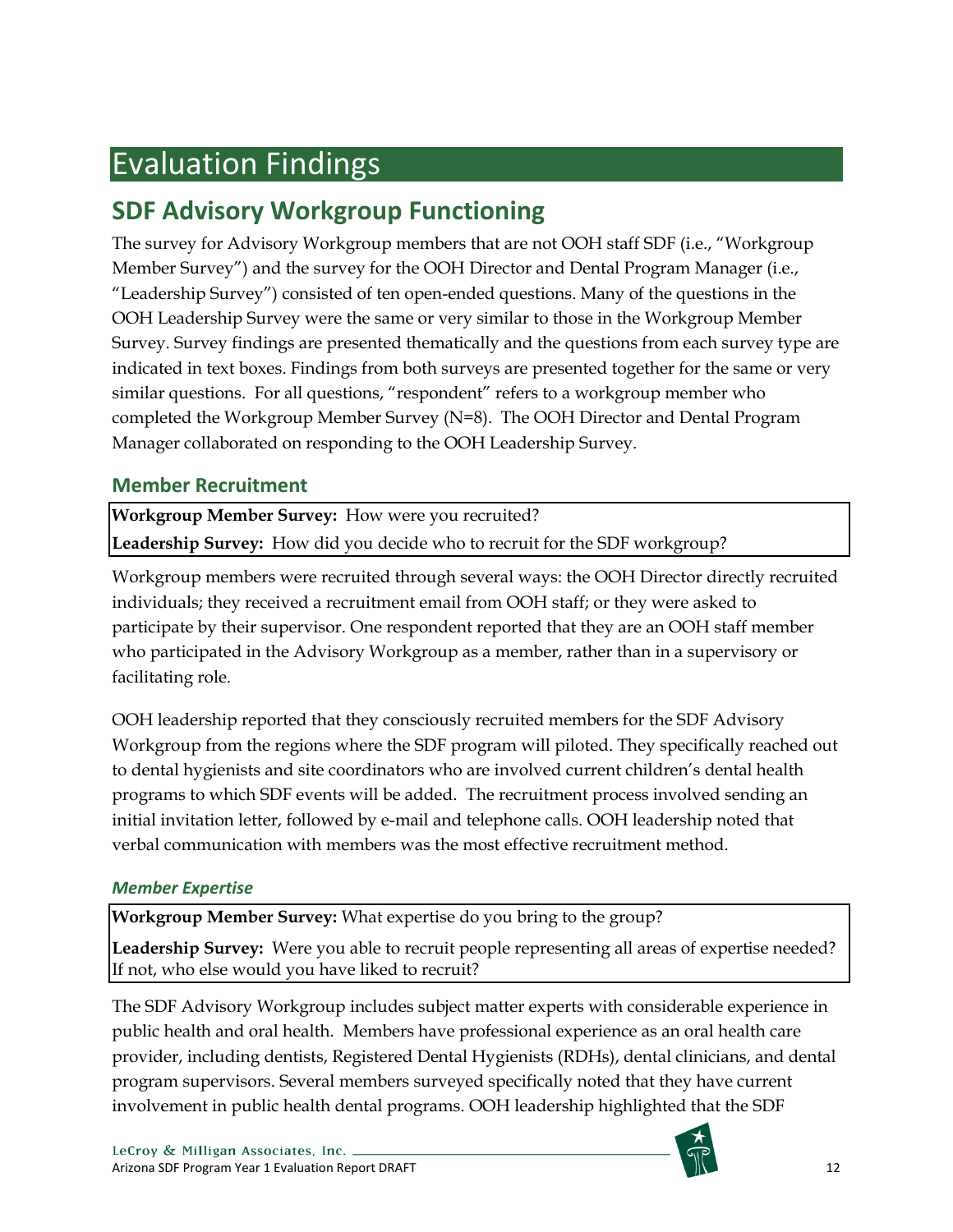# <span id="page-11-0"></span>Evaluation Findings

## <span id="page-11-1"></span>**SDF Advisory Workgroup Functioning**

The survey for Advisory Workgroup members that are not OOH staff SDF (i.e., "Workgroup Member Survey") and the survey for the OOH Director and Dental Program Manager (i.e., "Leadership Survey") consisted of ten open-ended questions. Many of the questions in the OOH Leadership Survey were the same or very similar to those in the Workgroup Member Survey. Survey findings are presented thematically and the questions from each survey type are indicated in text boxes. Findings from both surveys are presented together for the same or very similar questions. For all questions, "respondent" refers to a workgroup member who completed the Workgroup Member Survey (N=8). The OOH Director and Dental Program Manager collaborated on responding to the OOH Leadership Survey.

## <span id="page-11-2"></span>**Member Recruitment**

**Workgroup Member Survey:** How were you recruited? **Leadership Survey:** How did you decide who to recruit for the SDF workgroup?

Workgroup members were recruited through several ways: the OOH Director directly recruited individuals; they received a recruitment email from OOH staff; or they were asked to participate by their supervisor. One respondent reported that they are an OOH staff member who participated in the Advisory Workgroup as a member, rather than in a supervisory or facilitating role.

OOH leadership reported that they consciously recruited members for the SDF Advisory Workgroup from the regions where the SDF program will piloted. They specifically reached out to dental hygienists and site coordinators who are involved current children's dental health programs to which SDF events will be added. The recruitment process involved sending an initial invitation letter, followed by e-mail and telephone calls. OOH leadership noted that verbal communication with members was the most effective recruitment method.

### *Member Expertise*

**Workgroup Member Survey:** What expertise do you bring to the group?

**Leadership Survey:** Were you able to recruit people representing all areas of expertise needed? If not, who else would you have liked to recruit?

The SDF Advisory Workgroup includes subject matter experts with considerable experience in public health and oral health. Members have professional experience as an oral health care provider, including dentists, Registered Dental Hygienists (RDHs), dental clinicians, and dental program supervisors. Several members surveyed specifically noted that they have current involvement in public health dental programs. OOH leadership highlighted that the SDF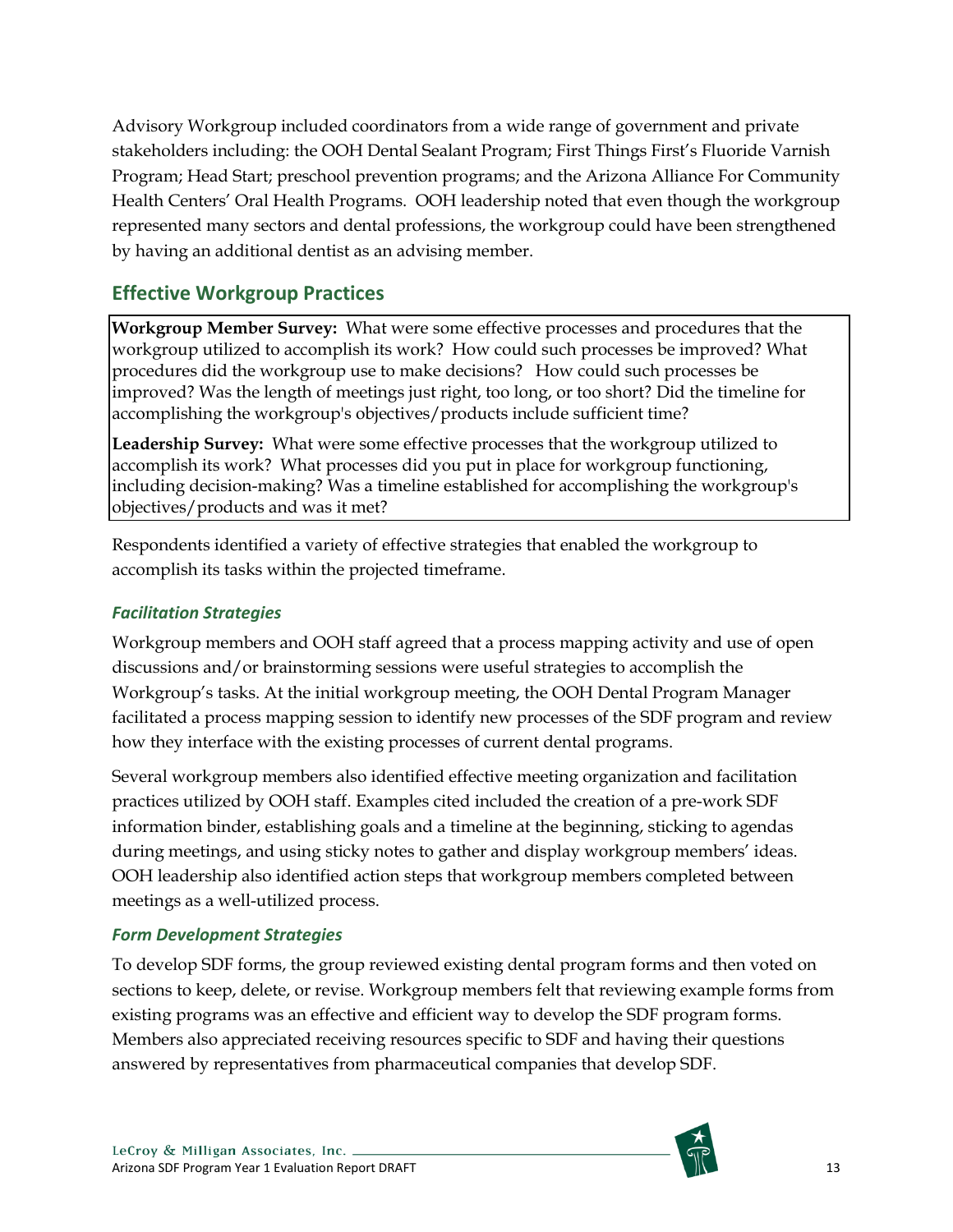Advisory Workgroup included coordinators from a wide range of government and private stakeholders including: the OOH Dental Sealant Program; First Things First's Fluoride Varnish Program; Head Start; preschool prevention programs; and the Arizona Alliance For Community Health Centers' Oral Health Programs. OOH leadership noted that even though the workgroup represented many sectors and dental professions, the workgroup could have been strengthened by having an additional dentist as an advising member.

## <span id="page-12-0"></span>**Effective Workgroup Practices**

**Workgroup Member Survey:** What were some effective processes and procedures that the workgroup utilized to accomplish its work? How could such processes be improved? What procedures did the workgroup use to make decisions? How could such processes be improved? Was the length of meetings just right, too long, or too short? Did the timeline for accomplishing the workgroup's objectives/products include sufficient time?

**Leadership Survey:** What were some effective processes that the workgroup utilized to accomplish its work? What processes did you put in place for workgroup functioning, including decision-making? Was a timeline established for accomplishing the workgroup's objectives/products and was it met?

Respondents identified a variety of effective strategies that enabled the workgroup to accomplish its tasks within the projected timeframe.

### *Facilitation Strategies*

Workgroup members and OOH staff agreed that a process mapping activity and use of open discussions and/or brainstorming sessions were useful strategies to accomplish the Workgroup's tasks. At the initial workgroup meeting, the OOH Dental Program Manager facilitated a process mapping session to identify new processes of the SDF program and review how they interface with the existing processes of current dental programs.

Several workgroup members also identified effective meeting organization and facilitation practices utilized by OOH staff. Examples cited included the creation of a pre-work SDF information binder, establishing goals and a timeline at the beginning, sticking to agendas during meetings, and using sticky notes to gather and display workgroup members' ideas. OOH leadership also identified action steps that workgroup members completed between meetings as a well-utilized process.

### *Form Development Strategies*

To develop SDF forms, the group reviewed existing dental program forms and then voted on sections to keep, delete, or revise. Workgroup members felt that reviewing example forms from existing programs was an effective and efficient way to develop the SDF program forms. Members also appreciated receiving resources specific to SDF and having their questions answered by representatives from pharmaceutical companies that develop SDF.

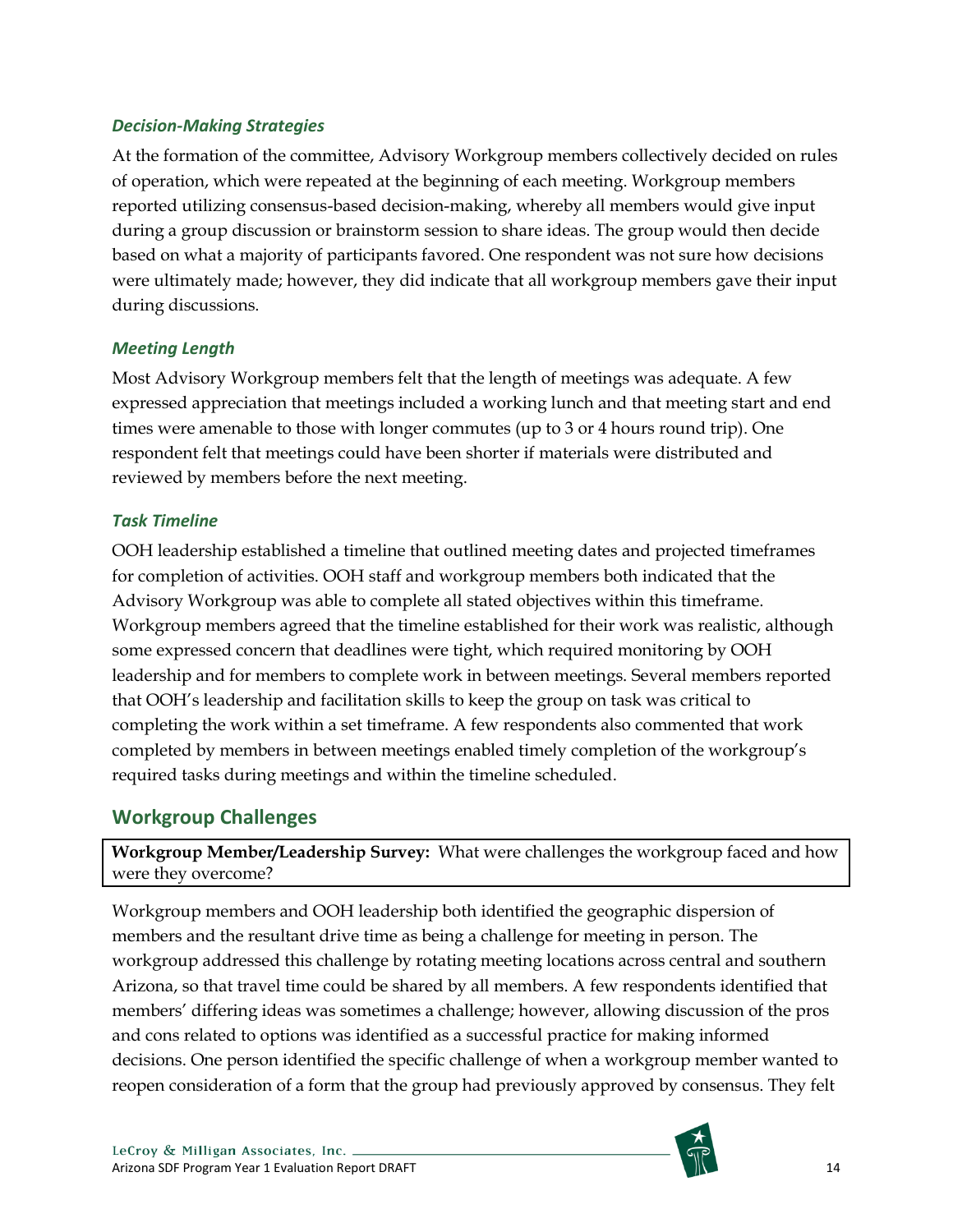#### *Decision-Making Strategies*

At the formation of the committee, Advisory Workgroup members collectively decided on rules of operation, which were repeated at the beginning of each meeting. Workgroup members reported utilizing consensus-based decision-making, whereby all members would give input during a group discussion or brainstorm session to share ideas. The group would then decide based on what a majority of participants favored. One respondent was not sure how decisions were ultimately made; however, they did indicate that all workgroup members gave their input during discussions.

#### *Meeting Length*

Most Advisory Workgroup members felt that the length of meetings was adequate. A few expressed appreciation that meetings included a working lunch and that meeting start and end times were amenable to those with longer commutes (up to 3 or 4 hours round trip). One respondent felt that meetings could have been shorter if materials were distributed and reviewed by members before the next meeting.

#### *Task Timeline*

OOH leadership established a timeline that outlined meeting dates and projected timeframes for completion of activities. OOH staff and workgroup members both indicated that the Advisory Workgroup was able to complete all stated objectives within this timeframe. Workgroup members agreed that the timeline established for their work was realistic, although some expressed concern that deadlines were tight, which required monitoring by OOH leadership and for members to complete work in between meetings. Several members reported that OOH's leadership and facilitation skills to keep the group on task was critical to completing the work within a set timeframe. A few respondents also commented that work completed by members in between meetings enabled timely completion of the workgroup's required tasks during meetings and within the timeline scheduled.

### <span id="page-13-0"></span>**Workgroup Challenges**

**Workgroup Member/Leadership Survey:** What were challenges the workgroup faced and how were they overcome?

Workgroup members and OOH leadership both identified the geographic dispersion of members and the resultant drive time as being a challenge for meeting in person. The workgroup addressed this challenge by rotating meeting locations across central and southern Arizona, so that travel time could be shared by all members. A few respondents identified that members' differing ideas was sometimes a challenge; however, allowing discussion of the pros and cons related to options was identified as a successful practice for making informed decisions. One person identified the specific challenge of when a workgroup member wanted to reopen consideration of a form that the group had previously approved by consensus. They felt

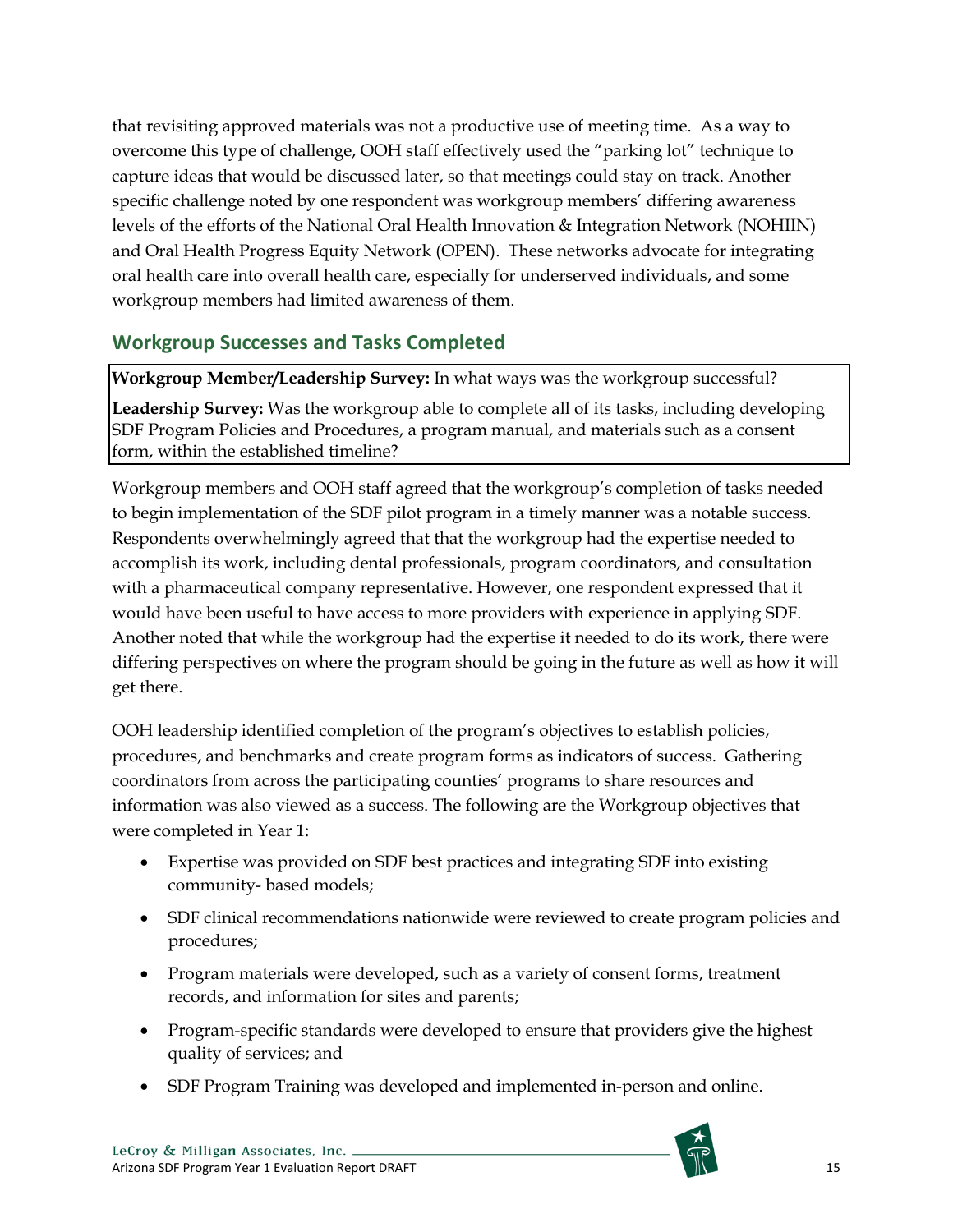that revisiting approved materials was not a productive use of meeting time. As a way to overcome this type of challenge, OOH staff effectively used the "parking lot" technique to capture ideas that would be discussed later, so that meetings could stay on track. Another specific challenge noted by one respondent was workgroup members' differing awareness levels of the efforts of the National Oral Health Innovation & Integration Network (NOHIIN) and Oral Health Progress Equity Network (OPEN). These networks advocate for integrating oral health care into overall health care, especially for underserved individuals, and some workgroup members had limited awareness of them.

## <span id="page-14-0"></span>**Workgroup Successes and Tasks Completed**

**Workgroup Member/Leadership Survey:** In what ways was the workgroup successful?

**Leadership Survey:** Was the workgroup able to complete all of its tasks, including developing SDF Program Policies and Procedures, a program manual, and materials such as a consent form, within the established timeline?

Workgroup members and OOH staff agreed that the workgroup's completion of tasks needed to begin implementation of the SDF pilot program in a timely manner was a notable success. Respondents overwhelmingly agreed that that the workgroup had the expertise needed to accomplish its work, including dental professionals, program coordinators, and consultation with a pharmaceutical company representative. However, one respondent expressed that it would have been useful to have access to more providers with experience in applying SDF. Another noted that while the workgroup had the expertise it needed to do its work, there were differing perspectives on where the program should be going in the future as well as how it will get there.

OOH leadership identified completion of the program's objectives to establish policies, procedures, and benchmarks and create program forms as indicators of success. Gathering coordinators from across the participating counties' programs to share resources and information was also viewed as a success. The following are the Workgroup objectives that were completed in Year 1:

- Expertise was provided on SDF best practices and integrating SDF into existing community- based models;
- SDF clinical recommendations nationwide were reviewed to create program policies and procedures;
- Program materials were developed, such as a variety of consent forms, treatment records, and information for sites and parents;
- Program-specific standards were developed to ensure that providers give the highest quality of services; and
- SDF Program Training was developed and implemented in-person and online.

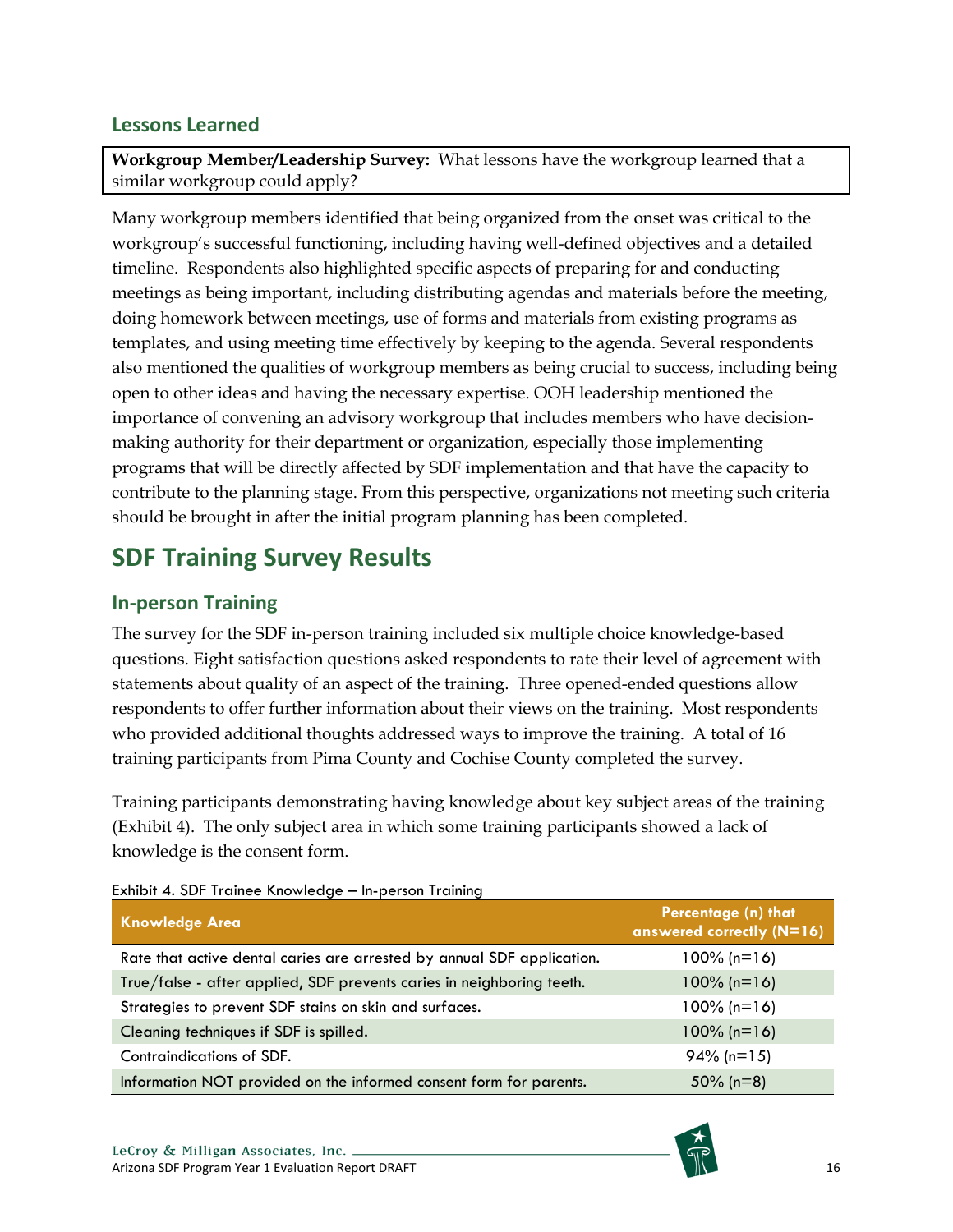### <span id="page-15-0"></span>**Lessons Learned**

**Workgroup Member/Leadership Survey:** What lessons have the workgroup learned that a similar workgroup could apply?

Many workgroup members identified that being organized from the onset was critical to the workgroup's successful functioning, including having well-defined objectives and a detailed timeline. Respondents also highlighted specific aspects of preparing for and conducting meetings as being important, including distributing agendas and materials before the meeting, doing homework between meetings, use of forms and materials from existing programs as templates, and using meeting time effectively by keeping to the agenda. Several respondents also mentioned the qualities of workgroup members as being crucial to success, including being open to other ideas and having the necessary expertise. OOH leadership mentioned the importance of convening an advisory workgroup that includes members who have decisionmaking authority for their department or organization, especially those implementing programs that will be directly affected by SDF implementation and that have the capacity to contribute to the planning stage. From this perspective, organizations not meeting such criteria should be brought in after the initial program planning has been completed.

## <span id="page-15-1"></span>**SDF Training Survey Results**

### <span id="page-15-2"></span>**In-person Training**

The survey for the SDF in-person training included six multiple choice knowledge-based questions. Eight satisfaction questions asked respondents to rate their level of agreement with statements about quality of an aspect of the training. Three opened-ended questions allow respondents to offer further information about their views on the training. Most respondents who provided additional thoughts addressed ways to improve the training. A total of 16 training participants from Pima County and Cochise County completed the survey.

Training participants demonstrating having knowledge about key subject areas of the training (Exhibit 4). The only subject area in which some training participants showed a lack of knowledge is the consent form.

| <b>Knowledge Area</b>                                                  | Percentage (n) that<br>answered correctly (N=16) |
|------------------------------------------------------------------------|--------------------------------------------------|
| Rate that active dental caries are arrested by annual SDF application. | $100\%$ (n=16)                                   |
| True/false - after applied, SDF prevents caries in neighboring teeth.  | $100\%$ (n=16)                                   |
| Strategies to prevent SDF stains on skin and surfaces.                 | $100\%$ (n=16)                                   |
| Cleaning techniques if SDF is spilled.                                 | $100\%$ (n=16)                                   |
| Contraindications of SDF.                                              | $94\%$ (n=15)                                    |
| Information NOT provided on the informed consent form for parents.     | 50% ( $n=8$ )                                    |

<span id="page-15-3"></span>Exhibit 4. SDF Trainee Knowledge – In-person Training

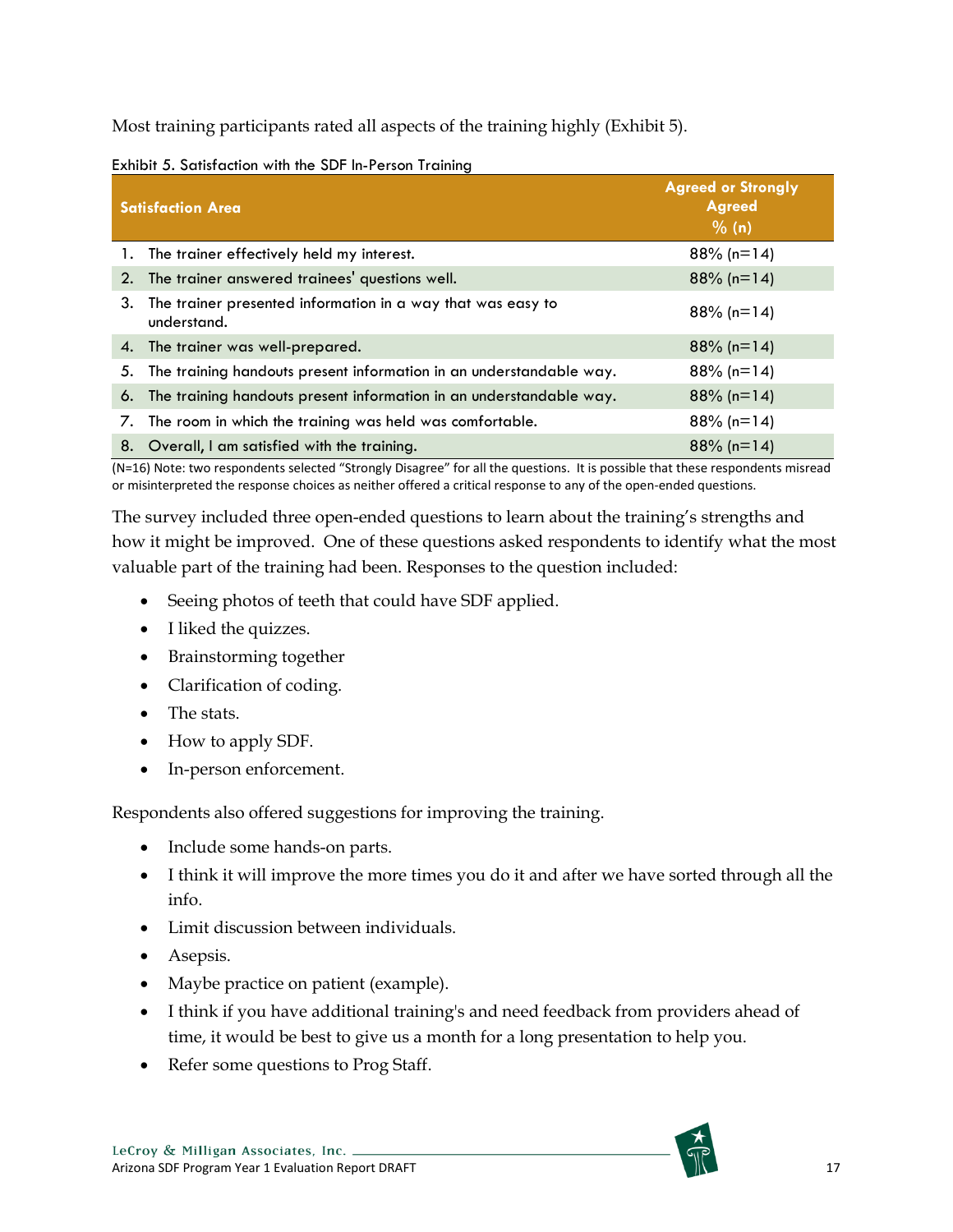Most training participants rated all aspects of the training highly (Exhibit 5).

<span id="page-16-0"></span>

|  | Exhibit 5. Satisfaction with the SDF In-Person Training |  |  |
|--|---------------------------------------------------------|--|--|
|  |                                                         |  |  |

|    | <b>Satisfaction Area</b>                                                   | <b>Agreed or Strongly</b><br><b>Agreed</b><br>$\frac{9}{6}$ (n) |
|----|----------------------------------------------------------------------------|-----------------------------------------------------------------|
|    | 1. The trainer effectively held my interest.                               | $88\%$ (n=14)                                                   |
| 2. | The trainer answered trainees' questions well.                             | $88\%$ (n=14)                                                   |
| 3. | The trainer presented information in a way that was easy to<br>understand. | $88\%$ (n=14)                                                   |
|    | 4. The trainer was well-prepared.                                          | $88\%$ (n=14)                                                   |
| 5. | The training handouts present information in an understandable way.        | $88\%$ (n=14)                                                   |
| 6. | The training handouts present information in an understandable way.        | $88\%$ (n=14)                                                   |
| 7. | The room in which the training was held was comfortable.                   | $88\%$ (n=14)                                                   |
|    | 8. Overall, I am satisfied with the training.                              | $88\%$ (n=14)                                                   |

(N=16) Note: two respondents selected "Strongly Disagree" for all the questions. It is possible that these respondents misread or misinterpreted the response choices as neither offered a critical response to any of the open-ended questions.

The survey included three open-ended questions to learn about the training's strengths and how it might be improved. One of these questions asked respondents to identify what the most valuable part of the training had been. Responses to the question included:

- Seeing photos of teeth that could have SDF applied.
- I liked the quizzes.
- Brainstorming together
- Clarification of coding.
- The stats.
- How to apply SDF.
- In-person enforcement.

Respondents also offered suggestions for improving the training.

- Include some hands-on parts.
- I think it will improve the more times you do it and after we have sorted through all the info.
- Limit discussion between individuals.
- Asepsis.
- Maybe practice on patient (example).
- I think if you have additional training's and need feedback from providers ahead of time, it would be best to give us a month for a long presentation to help you.
- Refer some questions to Prog Staff.

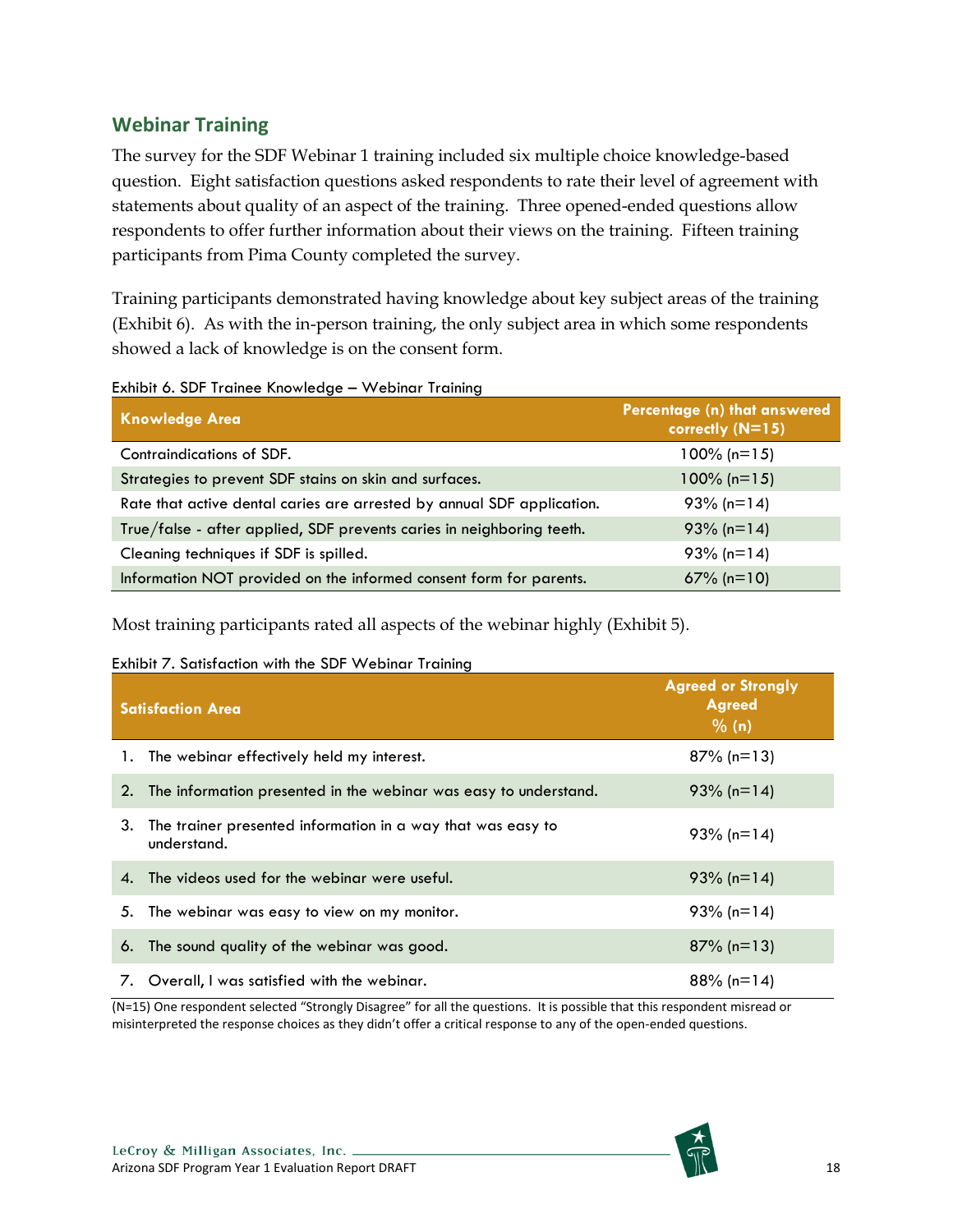## <span id="page-17-0"></span>**Webinar Training**

The survey for the SDF Webinar 1 training included six multiple choice knowledge-based question. Eight satisfaction questions asked respondents to rate their level of agreement with statements about quality of an aspect of the training. Three opened-ended questions allow respondents to offer further information about their views on the training. Fifteen training participants from Pima County completed the survey.

Training participants demonstrated having knowledge about key subject areas of the training (Exhibit 6). As with the in-person training, the only subject area in which some respondents showed a lack of knowledge is on the consent form.

| <b>Knowledge Area</b>                                                  | Percentage (n) that answered<br>correctly (N=15) |
|------------------------------------------------------------------------|--------------------------------------------------|
| Contraindications of SDF.                                              | $100\%$ (n=15)                                   |
| Strategies to prevent SDF stains on skin and surfaces.                 | $100\%$ (n=15)                                   |
| Rate that active dental caries are arrested by annual SDF application. | $93\%$ (n=14)                                    |
| True/false - after applied, SDF prevents caries in neighboring teeth.  | $93\%$ (n=14)                                    |
| Cleaning techniques if SDF is spilled.                                 | $93\%$ (n=14)                                    |
| Information NOT provided on the informed consent form for parents.     | $67\%$ (n=10)                                    |

<span id="page-17-1"></span>Exhibit 6. SDF Trainee Knowledge – Webinar Training

Most training participants rated all aspects of the webinar highly (Exhibit 5).

#### <span id="page-17-2"></span>Exhibit 7. Satisfaction with the SDF Webinar Training

|    | <b>Satisfaction Area</b>                                                   | <b>Agreed or Strongly</b><br><b>Agreed</b><br>% (n) |
|----|----------------------------------------------------------------------------|-----------------------------------------------------|
|    | 1. The webinar effectively held my interest.                               | $87\%$ (n=13)                                       |
| 2. | The information presented in the webinar was easy to understand.           | $93\%$ (n=14)                                       |
| 3. | The trainer presented information in a way that was easy to<br>understand. | $93\%$ (n=14)                                       |
| 4. | The videos used for the webinar were useful.                               | $93\%$ (n=14)                                       |
|    | 5. The webinar was easy to view on my monitor.                             | $93\%$ (n=14)                                       |
| 6. | The sound quality of the webinar was good.                                 | $87\%$ (n=13)                                       |
| 7. | Overall, I was satisfied with the webinar.                                 | $88\%$ (n=14)                                       |

(N=15) One respondent selected "Strongly Disagree" for all the questions. It is possible that this respondent misread or misinterpreted the response choices as they didn't offer a critical response to any of the open-ended questions.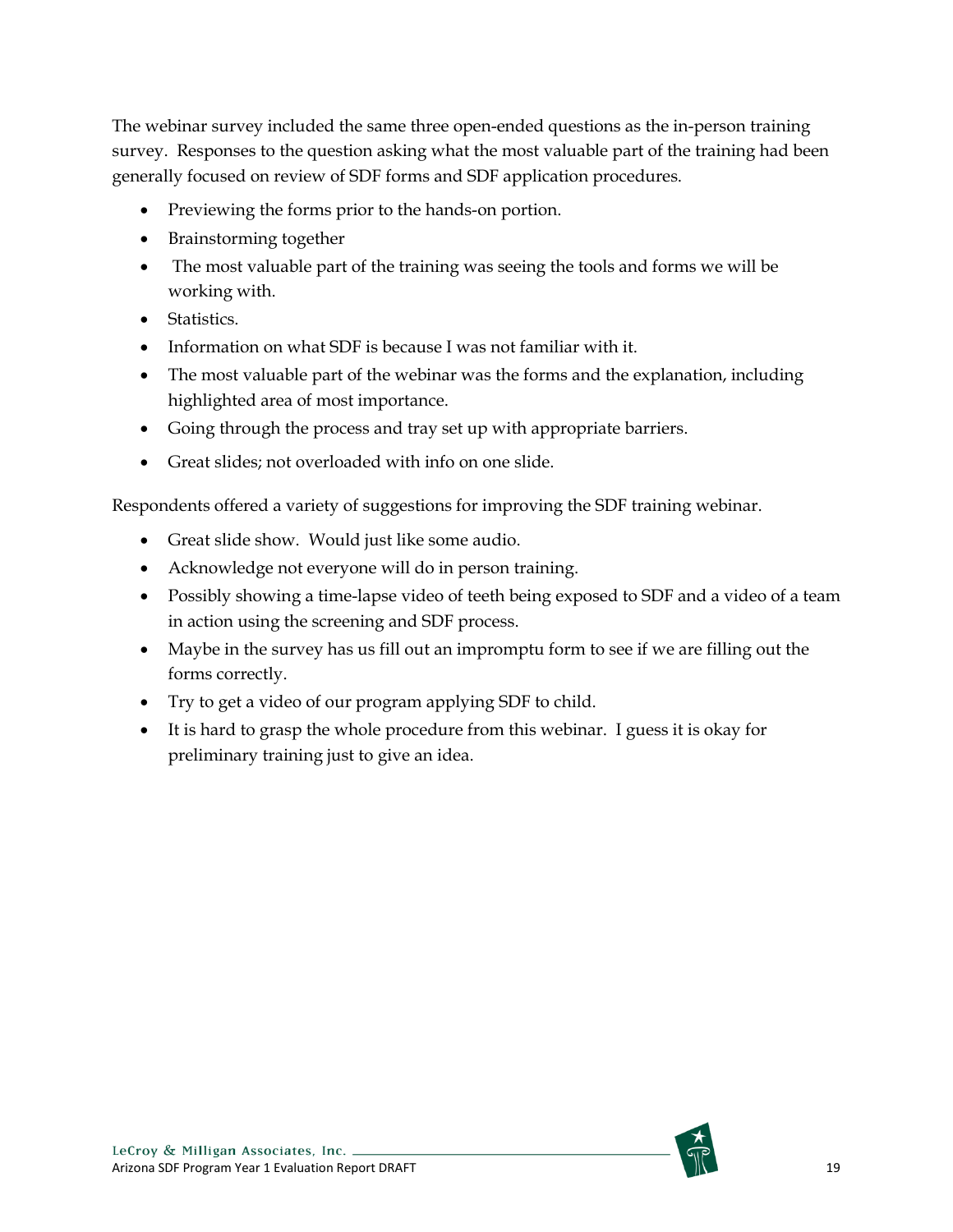The webinar survey included the same three open-ended questions as the in-person training survey. Responses to the question asking what the most valuable part of the training had been generally focused on review of SDF forms and SDF application procedures.

- Previewing the forms prior to the hands-on portion.
- Brainstorming together
- The most valuable part of the training was seeing the tools and forms we will be working with.
- Statistics.
- Information on what SDF is because I was not familiar with it.
- The most valuable part of the webinar was the forms and the explanation, including highlighted area of most importance.
- Going through the process and tray set up with appropriate barriers.
- Great slides; not overloaded with info on one slide.

Respondents offered a variety of suggestions for improving the SDF training webinar.

- Great slide show. Would just like some audio.
- Acknowledge not everyone will do in person training.
- Possibly showing a time-lapse video of teeth being exposed to SDF and a video of a team in action using the screening and SDF process.
- Maybe in the survey has us fill out an impromptu form to see if we are filling out the forms correctly.
- Try to get a video of our program applying SDF to child.
- It is hard to grasp the whole procedure from this webinar. I guess it is okay for preliminary training just to give an idea.

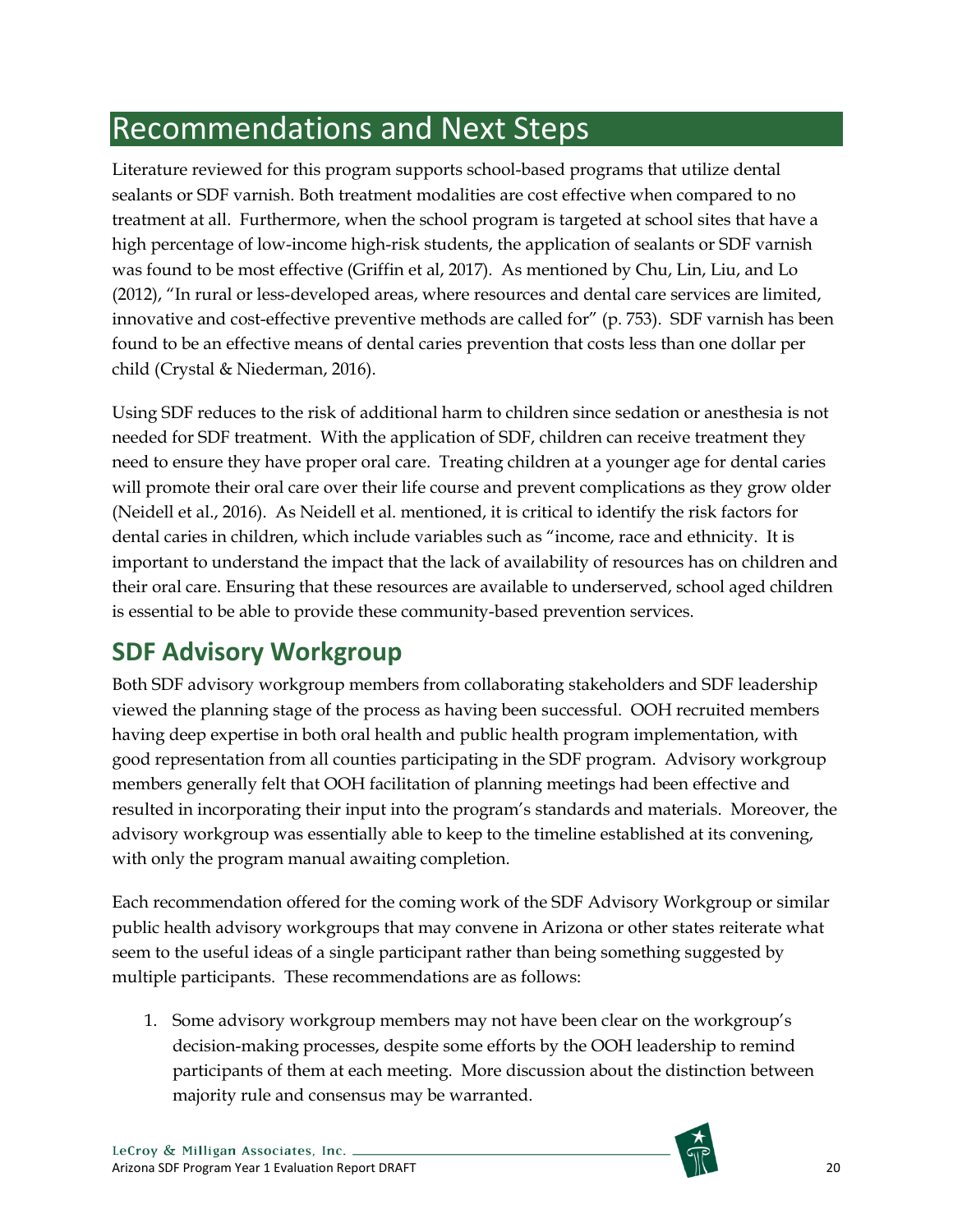# <span id="page-19-0"></span>Recommendations and Next Steps

Literature reviewed for this program supports school-based programs that utilize dental sealants or SDF varnish. Both treatment modalities are cost effective when compared to no treatment at all. Furthermore, when the school program is targeted at school sites that have a high percentage of low-income high-risk students, the application of sealants or SDF varnish was found to be most effective (Griffin et al, 2017). As mentioned by Chu, Lin, Liu, and Lo (2012), "In rural or less-developed areas, where resources and dental care services are limited, innovative and cost-effective preventive methods are called for" (p. 753). SDF varnish has been found to be an effective means of dental caries prevention that costs less than one dollar per child (Crystal & Niederman, 2016).

Using SDF reduces to the risk of additional harm to children since sedation or anesthesia is not needed for SDF treatment. With the application of SDF, children can receive treatment they need to ensure they have proper oral care. Treating children at a younger age for dental caries will promote their oral care over their life course and prevent complications as they grow older (Neidell et al., 2016). As Neidell et al. mentioned, it is critical to identify the risk factors for dental caries in children, which include variables such as "income, race and ethnicity. It is important to understand the impact that the lack of availability of resources has on children and their oral care. Ensuring that these resources are available to underserved, school aged children is essential to be able to provide these community-based prevention services.

# <span id="page-19-1"></span>**SDF Advisory Workgroup**

Both SDF advisory workgroup members from collaborating stakeholders and SDF leadership viewed the planning stage of the process as having been successful. OOH recruited members having deep expertise in both oral health and public health program implementation, with good representation from all counties participating in the SDF program. Advisory workgroup members generally felt that OOH facilitation of planning meetings had been effective and resulted in incorporating their input into the program's standards and materials. Moreover, the advisory workgroup was essentially able to keep to the timeline established at its convening, with only the program manual awaiting completion.

Each recommendation offered for the coming work of the SDF Advisory Workgroup or similar public health advisory workgroups that may convene in Arizona or other states reiterate what seem to the useful ideas of a single participant rather than being something suggested by multiple participants. These recommendations are as follows:

1. Some advisory workgroup members may not have been clear on the workgroup's decision-making processes, despite some efforts by the OOH leadership to remind participants of them at each meeting. More discussion about the distinction between majority rule and consensus may be warranted.

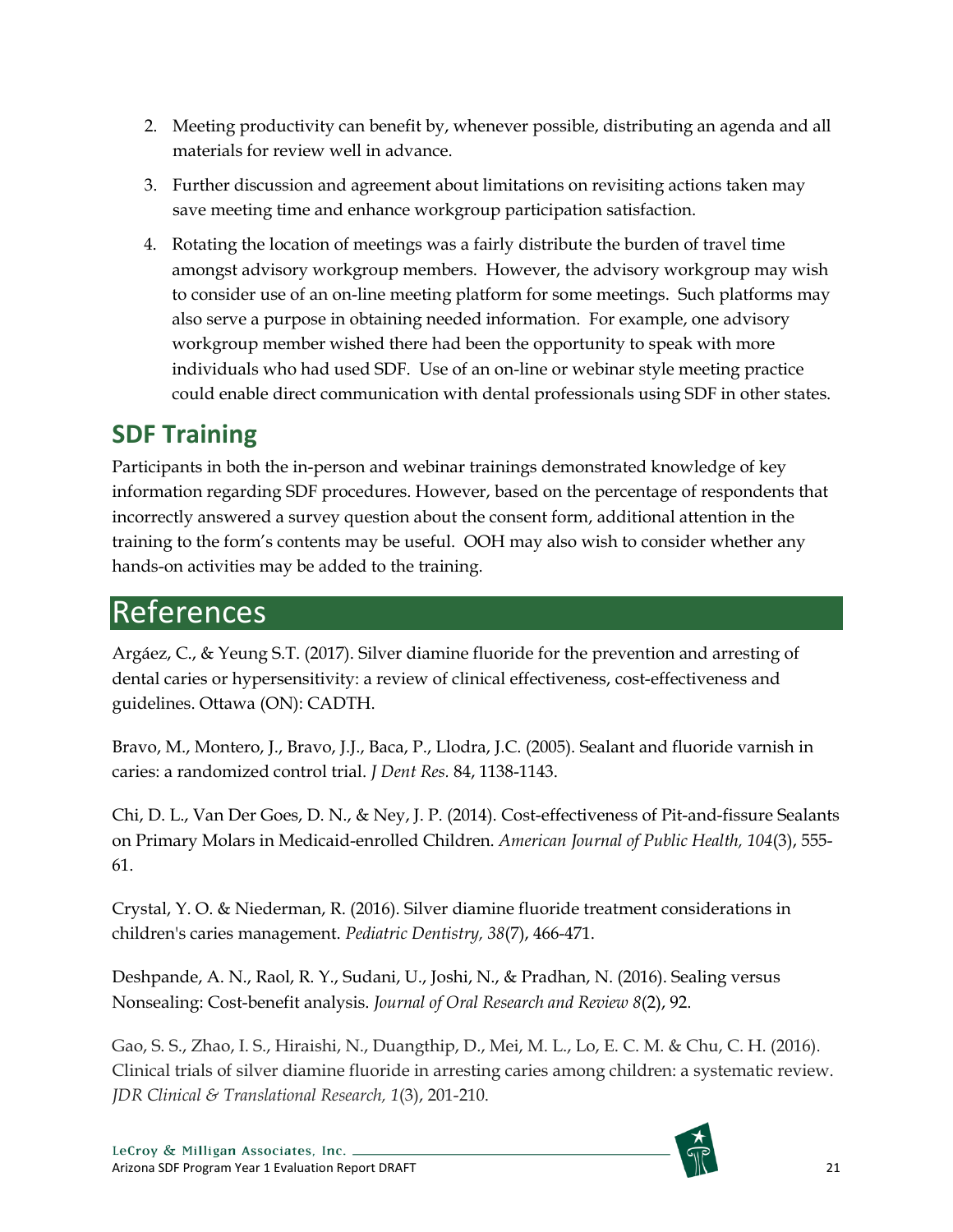- 2. Meeting productivity can benefit by, whenever possible, distributing an agenda and all materials for review well in advance.
- 3. Further discussion and agreement about limitations on revisiting actions taken may save meeting time and enhance workgroup participation satisfaction.
- 4. Rotating the location of meetings was a fairly distribute the burden of travel time amongst advisory workgroup members. However, the advisory workgroup may wish to consider use of an on-line meeting platform for some meetings. Such platforms may also serve a purpose in obtaining needed information. For example, one advisory workgroup member wished there had been the opportunity to speak with more individuals who had used SDF. Use of an on-line or webinar style meeting practice could enable direct communication with dental professionals using SDF in other states.

# <span id="page-20-0"></span>**SDF Training**

Participants in both the in-person and webinar trainings demonstrated knowledge of key information regarding SDF procedures. However, based on the percentage of respondents that incorrectly answered a survey question about the consent form, additional attention in the training to the form's contents may be useful. OOH may also wish to consider whether any hands-on activities may be added to the training.

# <span id="page-20-1"></span>References

Argáez, C., & Yeung S.T. (2017). Silver diamine fluoride for the prevention and arresting of dental caries or hypersensitivity: a review of clinical effectiveness, cost-effectiveness and guidelines. Ottawa (ON): CADTH.

Bravo, M., Montero, J., Bravo, J.J., Baca, P., Llodra, J.C. (2005). Sealant and fluoride varnish in caries: a randomized control trial. *J Dent Res.* 84, 1138-1143.

Chi, D. L., Van Der Goes, D. N., & Ney, J. P. (2014). Cost-effectiveness of Pit-and-fissure Sealants on Primary Molars in Medicaid-enrolled Children. *American Journal of Public Health, 104*(3), 555- 61.

Crystal, Y. O. & Niederman, R. (2016). Silver diamine fluoride treatment considerations in children's caries management. *Pediatric Dentistry, 38*(7), 466-471.

Deshpande, A. N., Raol, R. Y., Sudani, U., Joshi, N., & Pradhan, N. (2016). Sealing versus Nonsealing: Cost-benefit analysis. *Journal of Oral Research and Review 8*(2), 92.

Gao, S. S., Zhao, I. S., Hiraishi, N., Duangthip, D., Mei, M. L., Lo, E. C. M. & Chu, C. H. (2016). Clinical trials of silver diamine fluoride in arresting caries among children: a systematic review. *JDR Clinical & Translational Research, 1*(3), 201-210.